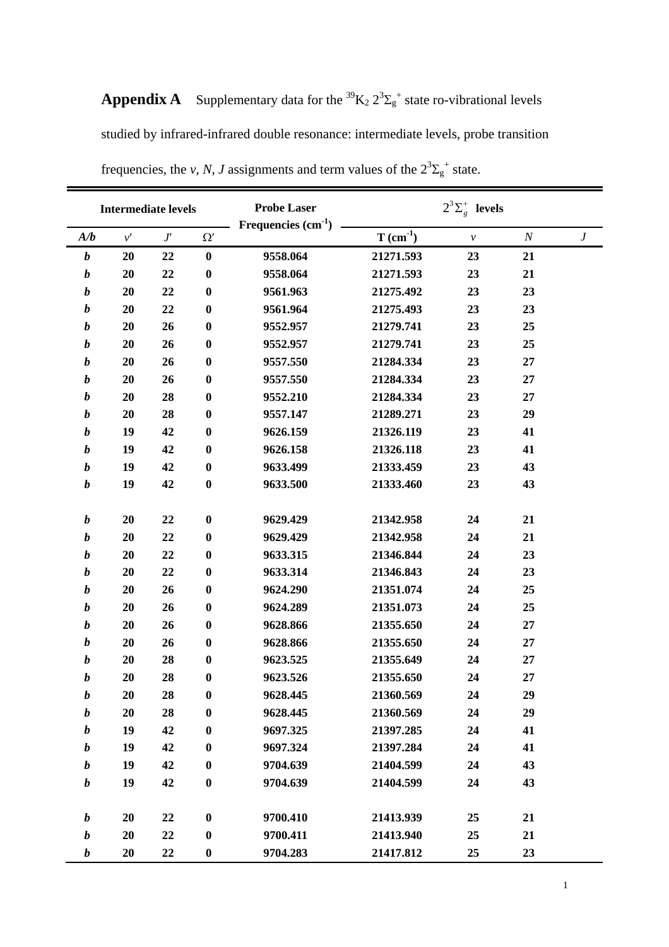|                  | <b>Intermediate levels</b> |              |                  | <b>Probe Laser</b><br>Frequencies $(cm-1)$ | $2^3\Sigma_g^+$ levels                  |              |          |                  |
|------------------|----------------------------|--------------|------------------|--------------------------------------------|-----------------------------------------|--------------|----------|------------------|
| A/b              | $\nu'$                     | $J^{\prime}$ | $\Omega'$        |                                            | $\mathbf T$ $(\mathbf{cm}^{\text{-1}})$ | $\mathcal V$ | $\cal N$ | $\boldsymbol{J}$ |
| $\boldsymbol{b}$ | 20                         | 22           | $\bf{0}$         | 9558.064                                   | 21271.593                               | 23           | 21       |                  |
| $\boldsymbol{b}$ | 20                         | 22           | $\bf{0}$         | 9558.064                                   | 21271.593                               | 23           | 21       |                  |
| $\boldsymbol{b}$ | 20                         | 22           | $\bf{0}$         | 9561.963                                   | 21275.492                               | 23           | 23       |                  |
| $\boldsymbol{b}$ | 20                         | 22           | $\bf{0}$         | 9561.964                                   | 21275.493                               | 23           | 23       |                  |
| $\boldsymbol{b}$ | 20                         | 26           | $\bf{0}$         | 9552.957                                   | 21279.741                               | 23           | 25       |                  |
| $\boldsymbol{b}$ | 20                         | 26           | $\bf{0}$         | 9552.957                                   | 21279.741                               | 23           | 25       |                  |
| $\boldsymbol{b}$ | 20                         | 26           | $\bf{0}$         | 9557.550                                   | 21284.334                               | 23           | 27       |                  |
| $\boldsymbol{b}$ | 20                         | 26           | $\bf{0}$         | 9557.550                                   | 21284.334                               | 23           | 27       |                  |
| $\boldsymbol{b}$ | 20                         | 28           | $\bf{0}$         | 9552.210                                   | 21284.334                               | 23           | 27       |                  |
| $\boldsymbol{b}$ | 20                         | 28           | $\bf{0}$         | 9557.147                                   | 21289.271                               | 23           | 29       |                  |
| $\boldsymbol{b}$ | 19                         | 42           | $\bf{0}$         | 9626.159                                   | 21326.119                               | 23           | 41       |                  |
| $\boldsymbol{b}$ | 19                         | 42           | $\bf{0}$         | 9626.158                                   | 21326.118                               | 23           | 41       |                  |
| $\boldsymbol{b}$ | 19                         | 42           | $\bf{0}$         | 9633.499                                   | 21333.459                               | 23           | 43       |                  |
| $\boldsymbol{b}$ | 19                         | 42           | $\bf{0}$         | 9633.500                                   | 21333.460                               | 23           | 43       |                  |
|                  |                            |              |                  |                                            |                                         |              |          |                  |
| $\boldsymbol{b}$ | 20                         | 22           | $\bf{0}$         | 9629.429                                   | 21342.958                               | 24           | 21       |                  |
| $\boldsymbol{b}$ | 20                         | 22           | $\bf{0}$         | 9629.429                                   | 21342.958                               | 24           | 21       |                  |
| $\boldsymbol{b}$ | 20                         | 22           | $\bf{0}$         | 9633.315                                   | 21346.844                               | 24           | 23       |                  |
| $\boldsymbol{b}$ | 20                         | 22           | $\bf{0}$         | 9633.314                                   | 21346.843                               | 24           | 23       |                  |
| $\boldsymbol{b}$ | 20                         | 26           | $\bf{0}$         | 9624.290                                   | 21351.074                               | 24           | 25       |                  |
| $\boldsymbol{b}$ | 20                         | 26           | $\bf{0}$         | 9624.289                                   | 21351.073                               | 24           | 25       |                  |
| $\boldsymbol{b}$ | 20                         | 26           | $\bf{0}$         | 9628.866                                   | 21355.650                               | 24           | 27       |                  |
| $\boldsymbol{b}$ | 20                         | 26           | $\bf{0}$         | 9628.866                                   | 21355.650                               | 24           | 27       |                  |
| $\boldsymbol{b}$ | 20                         | 28           | $\bf{0}$         | 9623.525                                   | 21355.649                               | 24           | 27       |                  |
| $\boldsymbol{b}$ | 20                         | 28           | $\bf{0}$         | 9623.526                                   | 21355.650                               | 24           | 27       |                  |
| $\boldsymbol{b}$ | 20                         | 28           | $\boldsymbol{0}$ | 9628.445                                   | 21360.569                               | 24           | 29       |                  |
| $\boldsymbol{b}$ | 20                         | 28           | $\boldsymbol{0}$ | 9628.445                                   | 21360.569                               | 24           | 29       |                  |
| $\boldsymbol{b}$ | 19                         | 42           | $\bf{0}$         | 9697.325                                   | 21397.285                               | 24           | 41       |                  |
| $\boldsymbol{b}$ | 19                         | 42           | $\bf{0}$         | 9697.324                                   | 21397.284                               | 24           | 41       |                  |
| $\boldsymbol{b}$ | 19                         | 42           | $\bf{0}$         | 9704.639                                   | 21404.599                               | 24           | 43       |                  |
| $\boldsymbol{b}$ | 19                         | 42           | $\boldsymbol{0}$ | 9704.639                                   | 21404.599                               | 24           | 43       |                  |
| $\boldsymbol{b}$ | 20                         | 22           | $\bf{0}$         | 9700.410                                   | 21413.939                               | 25           | 21       |                  |
| $\boldsymbol{b}$ | 20                         | 22           | $\boldsymbol{0}$ | 9700.411                                   | 21413.940                               | 25           | 21       |                  |
| $\boldsymbol{b}$ | 20                         | 22           | $\bf{0}$         | 9704.283                                   | 21417.812                               | 25           | 23       |                  |

**Appendix A** Supplementary data for the  ${}^{39}K_2 2{}^{3}\Sigma_g^+$  state ro-vibrational levels studied by infrared-infrared double resonance: intermediate levels, probe transition frequencies, the *v*, *N*, *J* assignments and term values of the  $2^{3}\Sigma_{g}^{+}$  state.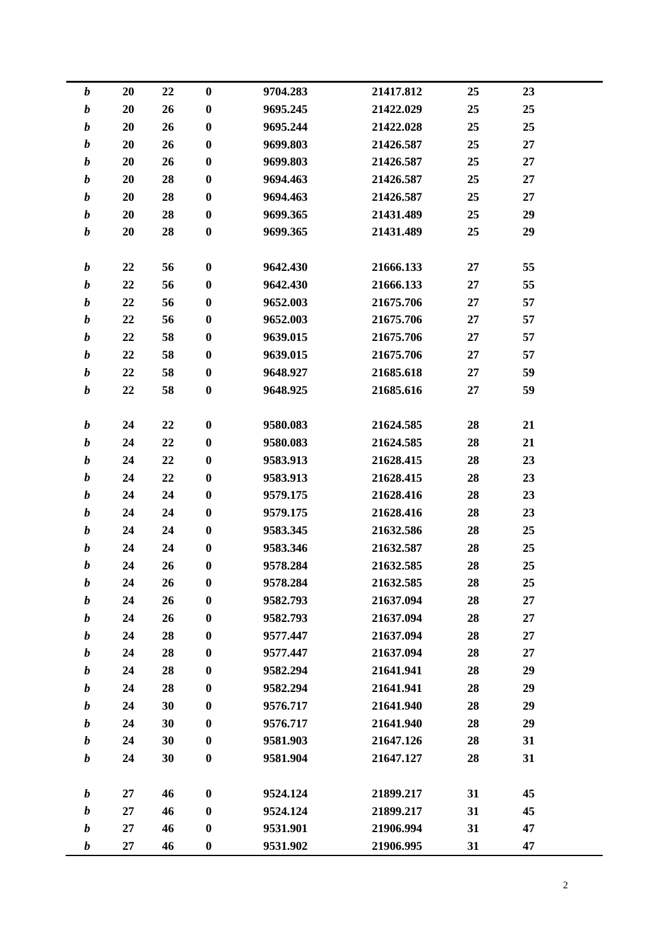| 22<br>25<br>23<br>$\boldsymbol{b}$<br>20<br>$\boldsymbol{0}$<br>9704.283<br>21417.812<br>$\boldsymbol{b}$<br>20<br>26<br>$\boldsymbol{0}$<br>9695.245<br>21422.029<br>25<br>25<br>$\boldsymbol{b}$<br>20<br>26<br>$\bf{0}$<br>21422.028<br>25<br>25<br>9695.244<br>$\boldsymbol{b}$<br>20<br>26<br>$\bf{0}$<br>9699.803<br>21426.587<br>25<br>27<br>$\boldsymbol{b}$<br>$\bf{0}$<br>21426.587<br>20<br>26<br>9699.803<br>25<br>27<br>28<br>$\boldsymbol{b}$<br>20<br>$\boldsymbol{0}$<br>25<br>27<br>9694.463<br>21426.587<br>20<br>28<br>$\bf{0}$<br>9694.463<br>21426.587<br>25<br>27<br>$\boldsymbol{b}$<br>$\boldsymbol{b}$<br>28<br>$\bf{0}$<br>20<br>25<br>29<br>9699.365<br>21431.489<br>28<br>$\boldsymbol{b}$<br>20<br>$\bf{0}$<br>9699.365<br>21431.489<br>25<br>29<br>55<br>$\boldsymbol{b}$<br>22<br>56<br>$\bf{0}$<br>21666.133<br>9642.430<br>27<br>$\boldsymbol{b}$<br>22<br>56<br>$\boldsymbol{0}$<br>21666.133<br>27<br>55<br>9642.430<br>$\boldsymbol{b}$<br>22<br>56<br>$\bf{0}$<br>21675.706<br>57<br>9652.003<br>27<br>22<br>56<br>$\bf{0}$<br>9652.003<br>21675.706<br>57<br>$\boldsymbol{b}$<br>27<br>58<br>$\bf{0}$<br>$\boldsymbol{b}$<br>22<br>9639.015<br>21675.706<br>27<br>57<br>58<br>$\boldsymbol{b}$<br>22<br>$\bf{0}$<br>57<br>9639.015<br>21675.706<br>27<br>58<br>$\bf{0}$<br>21685.618<br>59<br>$\boldsymbol{b}$<br>22<br>9648.927<br>27<br>$\boldsymbol{b}$<br>$\bf{0}$<br>22<br>58<br>21685.616<br>59<br>9648.925<br>27<br>$\boldsymbol{0}$<br>9580.083<br>21624.585<br>28<br>21<br>$\boldsymbol{b}$<br>24<br>22<br>$\bf{0}$<br>$\boldsymbol{b}$<br>22<br>28<br>21<br>24<br>9580.083<br>21624.585<br>$\boldsymbol{b}$<br>24<br>22<br>$\bf{0}$<br>9583.913<br>21628.415<br>28<br>23<br>$\boldsymbol{b}$<br>22<br>$\bf{0}$<br>21628.415<br>28<br>24<br>9583.913<br>23<br>$\boldsymbol{b}$<br>24<br>$\bf{0}$<br>21628.416<br>28<br>23<br>24<br>9579.175<br>$\boldsymbol{b}$<br>24<br>24<br>$\bf{0}$<br>21628.416<br>28<br>23<br>9579.175<br>$\boldsymbol{b}$<br>24<br>24<br>$\boldsymbol{0}$<br>28<br>25<br>9583.345<br>21632.586<br>$\boldsymbol{b}$<br>24<br>$\bf{0}$<br>21632.587<br>28<br>25<br>24<br>9583.346<br>$\boldsymbol{b}$<br>24<br>26<br>$\boldsymbol{0}$<br>9578.284<br>21632.585<br>28<br>25<br>25<br>21632.585<br>28<br>24<br>26<br>9578.284<br>$\boldsymbol{0}$<br>b<br>$\boldsymbol{b}$<br>26<br>$\bf{0}$<br>9582.793<br>21637.094<br>28<br>27<br>24<br>$\boldsymbol{b}$<br>$\bf{0}$<br>27<br>24<br>26<br>28<br>9582.793<br>21637.094<br>28<br>$\bf{0}$<br>9577.447<br>21637.094<br>28<br>27<br>$\boldsymbol{b}$<br>24<br>$\boldsymbol{b}$<br>28<br>24<br>$\bf{0}$<br>21637.094<br>27<br>9577.447<br>28<br>$\boldsymbol{b}$<br>24<br>28<br>$\bf{0}$<br>21641.941<br>28<br>29<br>9582.294<br>$\boldsymbol{b}$<br>28<br>$\bf{0}$<br>21641.941<br>28<br>29<br>24<br>9582.294<br>$\boldsymbol{b}$<br>30<br>$\bf{0}$<br>24<br>21641.940<br>28<br>29<br>9576.717<br>30<br>$\boldsymbol{b}$<br>24<br>$\bf{0}$<br>9576.717<br>21641.940<br>28<br>29<br>$\boldsymbol{b}$<br>24<br>30<br>$\bf{0}$<br>9581.903<br>21647.126<br>31<br>28<br>$\boldsymbol{b}$<br>24<br>30<br>$\bf{0}$<br>21647.127<br>28<br>31<br>9581.904<br>$\boldsymbol{b}$<br>$\bf{0}$<br>31<br>27<br>46<br>9524.124<br>21899.217<br>45<br>$\boldsymbol{b}$<br>27<br>46<br>$\bf{0}$<br>9524.124<br>31<br>45<br>21899.217<br>$\boldsymbol{b}$<br>27<br>46<br>$\bf{0}$<br>9531.901<br>21906.994<br>31<br>47<br>21906.995<br>27<br>46<br>$\boldsymbol{0}$<br>9531.902<br>31<br>47<br>b |  |  |  |  |  |
|-------------------------------------------------------------------------------------------------------------------------------------------------------------------------------------------------------------------------------------------------------------------------------------------------------------------------------------------------------------------------------------------------------------------------------------------------------------------------------------------------------------------------------------------------------------------------------------------------------------------------------------------------------------------------------------------------------------------------------------------------------------------------------------------------------------------------------------------------------------------------------------------------------------------------------------------------------------------------------------------------------------------------------------------------------------------------------------------------------------------------------------------------------------------------------------------------------------------------------------------------------------------------------------------------------------------------------------------------------------------------------------------------------------------------------------------------------------------------------------------------------------------------------------------------------------------------------------------------------------------------------------------------------------------------------------------------------------------------------------------------------------------------------------------------------------------------------------------------------------------------------------------------------------------------------------------------------------------------------------------------------------------------------------------------------------------------------------------------------------------------------------------------------------------------------------------------------------------------------------------------------------------------------------------------------------------------------------------------------------------------------------------------------------------------------------------------------------------------------------------------------------------------------------------------------------------------------------------------------------------------------------------------------------------------------------------------------------------------------------------------------------------------------------------------------------------------------------------------------------------------------------------------------------------------------------------------------------------------------------------------------------------------------------------------------------------------------------------------------------------------------------------------------------------------------------------------------------------------------------------------------------------------------------------------------------------------------------------------------------------------------------------------------------------------------------------------------------------------------------------------|--|--|--|--|--|
|                                                                                                                                                                                                                                                                                                                                                                                                                                                                                                                                                                                                                                                                                                                                                                                                                                                                                                                                                                                                                                                                                                                                                                                                                                                                                                                                                                                                                                                                                                                                                                                                                                                                                                                                                                                                                                                                                                                                                                                                                                                                                                                                                                                                                                                                                                                                                                                                                                                                                                                                                                                                                                                                                                                                                                                                                                                                                                                                                                                                                                                                                                                                                                                                                                                                                                                                                                                                                                                                                                 |  |  |  |  |  |
|                                                                                                                                                                                                                                                                                                                                                                                                                                                                                                                                                                                                                                                                                                                                                                                                                                                                                                                                                                                                                                                                                                                                                                                                                                                                                                                                                                                                                                                                                                                                                                                                                                                                                                                                                                                                                                                                                                                                                                                                                                                                                                                                                                                                                                                                                                                                                                                                                                                                                                                                                                                                                                                                                                                                                                                                                                                                                                                                                                                                                                                                                                                                                                                                                                                                                                                                                                                                                                                                                                 |  |  |  |  |  |
|                                                                                                                                                                                                                                                                                                                                                                                                                                                                                                                                                                                                                                                                                                                                                                                                                                                                                                                                                                                                                                                                                                                                                                                                                                                                                                                                                                                                                                                                                                                                                                                                                                                                                                                                                                                                                                                                                                                                                                                                                                                                                                                                                                                                                                                                                                                                                                                                                                                                                                                                                                                                                                                                                                                                                                                                                                                                                                                                                                                                                                                                                                                                                                                                                                                                                                                                                                                                                                                                                                 |  |  |  |  |  |
|                                                                                                                                                                                                                                                                                                                                                                                                                                                                                                                                                                                                                                                                                                                                                                                                                                                                                                                                                                                                                                                                                                                                                                                                                                                                                                                                                                                                                                                                                                                                                                                                                                                                                                                                                                                                                                                                                                                                                                                                                                                                                                                                                                                                                                                                                                                                                                                                                                                                                                                                                                                                                                                                                                                                                                                                                                                                                                                                                                                                                                                                                                                                                                                                                                                                                                                                                                                                                                                                                                 |  |  |  |  |  |
|                                                                                                                                                                                                                                                                                                                                                                                                                                                                                                                                                                                                                                                                                                                                                                                                                                                                                                                                                                                                                                                                                                                                                                                                                                                                                                                                                                                                                                                                                                                                                                                                                                                                                                                                                                                                                                                                                                                                                                                                                                                                                                                                                                                                                                                                                                                                                                                                                                                                                                                                                                                                                                                                                                                                                                                                                                                                                                                                                                                                                                                                                                                                                                                                                                                                                                                                                                                                                                                                                                 |  |  |  |  |  |
|                                                                                                                                                                                                                                                                                                                                                                                                                                                                                                                                                                                                                                                                                                                                                                                                                                                                                                                                                                                                                                                                                                                                                                                                                                                                                                                                                                                                                                                                                                                                                                                                                                                                                                                                                                                                                                                                                                                                                                                                                                                                                                                                                                                                                                                                                                                                                                                                                                                                                                                                                                                                                                                                                                                                                                                                                                                                                                                                                                                                                                                                                                                                                                                                                                                                                                                                                                                                                                                                                                 |  |  |  |  |  |
|                                                                                                                                                                                                                                                                                                                                                                                                                                                                                                                                                                                                                                                                                                                                                                                                                                                                                                                                                                                                                                                                                                                                                                                                                                                                                                                                                                                                                                                                                                                                                                                                                                                                                                                                                                                                                                                                                                                                                                                                                                                                                                                                                                                                                                                                                                                                                                                                                                                                                                                                                                                                                                                                                                                                                                                                                                                                                                                                                                                                                                                                                                                                                                                                                                                                                                                                                                                                                                                                                                 |  |  |  |  |  |
|                                                                                                                                                                                                                                                                                                                                                                                                                                                                                                                                                                                                                                                                                                                                                                                                                                                                                                                                                                                                                                                                                                                                                                                                                                                                                                                                                                                                                                                                                                                                                                                                                                                                                                                                                                                                                                                                                                                                                                                                                                                                                                                                                                                                                                                                                                                                                                                                                                                                                                                                                                                                                                                                                                                                                                                                                                                                                                                                                                                                                                                                                                                                                                                                                                                                                                                                                                                                                                                                                                 |  |  |  |  |  |
|                                                                                                                                                                                                                                                                                                                                                                                                                                                                                                                                                                                                                                                                                                                                                                                                                                                                                                                                                                                                                                                                                                                                                                                                                                                                                                                                                                                                                                                                                                                                                                                                                                                                                                                                                                                                                                                                                                                                                                                                                                                                                                                                                                                                                                                                                                                                                                                                                                                                                                                                                                                                                                                                                                                                                                                                                                                                                                                                                                                                                                                                                                                                                                                                                                                                                                                                                                                                                                                                                                 |  |  |  |  |  |
|                                                                                                                                                                                                                                                                                                                                                                                                                                                                                                                                                                                                                                                                                                                                                                                                                                                                                                                                                                                                                                                                                                                                                                                                                                                                                                                                                                                                                                                                                                                                                                                                                                                                                                                                                                                                                                                                                                                                                                                                                                                                                                                                                                                                                                                                                                                                                                                                                                                                                                                                                                                                                                                                                                                                                                                                                                                                                                                                                                                                                                                                                                                                                                                                                                                                                                                                                                                                                                                                                                 |  |  |  |  |  |
|                                                                                                                                                                                                                                                                                                                                                                                                                                                                                                                                                                                                                                                                                                                                                                                                                                                                                                                                                                                                                                                                                                                                                                                                                                                                                                                                                                                                                                                                                                                                                                                                                                                                                                                                                                                                                                                                                                                                                                                                                                                                                                                                                                                                                                                                                                                                                                                                                                                                                                                                                                                                                                                                                                                                                                                                                                                                                                                                                                                                                                                                                                                                                                                                                                                                                                                                                                                                                                                                                                 |  |  |  |  |  |
|                                                                                                                                                                                                                                                                                                                                                                                                                                                                                                                                                                                                                                                                                                                                                                                                                                                                                                                                                                                                                                                                                                                                                                                                                                                                                                                                                                                                                                                                                                                                                                                                                                                                                                                                                                                                                                                                                                                                                                                                                                                                                                                                                                                                                                                                                                                                                                                                                                                                                                                                                                                                                                                                                                                                                                                                                                                                                                                                                                                                                                                                                                                                                                                                                                                                                                                                                                                                                                                                                                 |  |  |  |  |  |
|                                                                                                                                                                                                                                                                                                                                                                                                                                                                                                                                                                                                                                                                                                                                                                                                                                                                                                                                                                                                                                                                                                                                                                                                                                                                                                                                                                                                                                                                                                                                                                                                                                                                                                                                                                                                                                                                                                                                                                                                                                                                                                                                                                                                                                                                                                                                                                                                                                                                                                                                                                                                                                                                                                                                                                                                                                                                                                                                                                                                                                                                                                                                                                                                                                                                                                                                                                                                                                                                                                 |  |  |  |  |  |
|                                                                                                                                                                                                                                                                                                                                                                                                                                                                                                                                                                                                                                                                                                                                                                                                                                                                                                                                                                                                                                                                                                                                                                                                                                                                                                                                                                                                                                                                                                                                                                                                                                                                                                                                                                                                                                                                                                                                                                                                                                                                                                                                                                                                                                                                                                                                                                                                                                                                                                                                                                                                                                                                                                                                                                                                                                                                                                                                                                                                                                                                                                                                                                                                                                                                                                                                                                                                                                                                                                 |  |  |  |  |  |
|                                                                                                                                                                                                                                                                                                                                                                                                                                                                                                                                                                                                                                                                                                                                                                                                                                                                                                                                                                                                                                                                                                                                                                                                                                                                                                                                                                                                                                                                                                                                                                                                                                                                                                                                                                                                                                                                                                                                                                                                                                                                                                                                                                                                                                                                                                                                                                                                                                                                                                                                                                                                                                                                                                                                                                                                                                                                                                                                                                                                                                                                                                                                                                                                                                                                                                                                                                                                                                                                                                 |  |  |  |  |  |
|                                                                                                                                                                                                                                                                                                                                                                                                                                                                                                                                                                                                                                                                                                                                                                                                                                                                                                                                                                                                                                                                                                                                                                                                                                                                                                                                                                                                                                                                                                                                                                                                                                                                                                                                                                                                                                                                                                                                                                                                                                                                                                                                                                                                                                                                                                                                                                                                                                                                                                                                                                                                                                                                                                                                                                                                                                                                                                                                                                                                                                                                                                                                                                                                                                                                                                                                                                                                                                                                                                 |  |  |  |  |  |
|                                                                                                                                                                                                                                                                                                                                                                                                                                                                                                                                                                                                                                                                                                                                                                                                                                                                                                                                                                                                                                                                                                                                                                                                                                                                                                                                                                                                                                                                                                                                                                                                                                                                                                                                                                                                                                                                                                                                                                                                                                                                                                                                                                                                                                                                                                                                                                                                                                                                                                                                                                                                                                                                                                                                                                                                                                                                                                                                                                                                                                                                                                                                                                                                                                                                                                                                                                                                                                                                                                 |  |  |  |  |  |
|                                                                                                                                                                                                                                                                                                                                                                                                                                                                                                                                                                                                                                                                                                                                                                                                                                                                                                                                                                                                                                                                                                                                                                                                                                                                                                                                                                                                                                                                                                                                                                                                                                                                                                                                                                                                                                                                                                                                                                                                                                                                                                                                                                                                                                                                                                                                                                                                                                                                                                                                                                                                                                                                                                                                                                                                                                                                                                                                                                                                                                                                                                                                                                                                                                                                                                                                                                                                                                                                                                 |  |  |  |  |  |
|                                                                                                                                                                                                                                                                                                                                                                                                                                                                                                                                                                                                                                                                                                                                                                                                                                                                                                                                                                                                                                                                                                                                                                                                                                                                                                                                                                                                                                                                                                                                                                                                                                                                                                                                                                                                                                                                                                                                                                                                                                                                                                                                                                                                                                                                                                                                                                                                                                                                                                                                                                                                                                                                                                                                                                                                                                                                                                                                                                                                                                                                                                                                                                                                                                                                                                                                                                                                                                                                                                 |  |  |  |  |  |
|                                                                                                                                                                                                                                                                                                                                                                                                                                                                                                                                                                                                                                                                                                                                                                                                                                                                                                                                                                                                                                                                                                                                                                                                                                                                                                                                                                                                                                                                                                                                                                                                                                                                                                                                                                                                                                                                                                                                                                                                                                                                                                                                                                                                                                                                                                                                                                                                                                                                                                                                                                                                                                                                                                                                                                                                                                                                                                                                                                                                                                                                                                                                                                                                                                                                                                                                                                                                                                                                                                 |  |  |  |  |  |
|                                                                                                                                                                                                                                                                                                                                                                                                                                                                                                                                                                                                                                                                                                                                                                                                                                                                                                                                                                                                                                                                                                                                                                                                                                                                                                                                                                                                                                                                                                                                                                                                                                                                                                                                                                                                                                                                                                                                                                                                                                                                                                                                                                                                                                                                                                                                                                                                                                                                                                                                                                                                                                                                                                                                                                                                                                                                                                                                                                                                                                                                                                                                                                                                                                                                                                                                                                                                                                                                                                 |  |  |  |  |  |
|                                                                                                                                                                                                                                                                                                                                                                                                                                                                                                                                                                                                                                                                                                                                                                                                                                                                                                                                                                                                                                                                                                                                                                                                                                                                                                                                                                                                                                                                                                                                                                                                                                                                                                                                                                                                                                                                                                                                                                                                                                                                                                                                                                                                                                                                                                                                                                                                                                                                                                                                                                                                                                                                                                                                                                                                                                                                                                                                                                                                                                                                                                                                                                                                                                                                                                                                                                                                                                                                                                 |  |  |  |  |  |
|                                                                                                                                                                                                                                                                                                                                                                                                                                                                                                                                                                                                                                                                                                                                                                                                                                                                                                                                                                                                                                                                                                                                                                                                                                                                                                                                                                                                                                                                                                                                                                                                                                                                                                                                                                                                                                                                                                                                                                                                                                                                                                                                                                                                                                                                                                                                                                                                                                                                                                                                                                                                                                                                                                                                                                                                                                                                                                                                                                                                                                                                                                                                                                                                                                                                                                                                                                                                                                                                                                 |  |  |  |  |  |
|                                                                                                                                                                                                                                                                                                                                                                                                                                                                                                                                                                                                                                                                                                                                                                                                                                                                                                                                                                                                                                                                                                                                                                                                                                                                                                                                                                                                                                                                                                                                                                                                                                                                                                                                                                                                                                                                                                                                                                                                                                                                                                                                                                                                                                                                                                                                                                                                                                                                                                                                                                                                                                                                                                                                                                                                                                                                                                                                                                                                                                                                                                                                                                                                                                                                                                                                                                                                                                                                                                 |  |  |  |  |  |
|                                                                                                                                                                                                                                                                                                                                                                                                                                                                                                                                                                                                                                                                                                                                                                                                                                                                                                                                                                                                                                                                                                                                                                                                                                                                                                                                                                                                                                                                                                                                                                                                                                                                                                                                                                                                                                                                                                                                                                                                                                                                                                                                                                                                                                                                                                                                                                                                                                                                                                                                                                                                                                                                                                                                                                                                                                                                                                                                                                                                                                                                                                                                                                                                                                                                                                                                                                                                                                                                                                 |  |  |  |  |  |
|                                                                                                                                                                                                                                                                                                                                                                                                                                                                                                                                                                                                                                                                                                                                                                                                                                                                                                                                                                                                                                                                                                                                                                                                                                                                                                                                                                                                                                                                                                                                                                                                                                                                                                                                                                                                                                                                                                                                                                                                                                                                                                                                                                                                                                                                                                                                                                                                                                                                                                                                                                                                                                                                                                                                                                                                                                                                                                                                                                                                                                                                                                                                                                                                                                                                                                                                                                                                                                                                                                 |  |  |  |  |  |
|                                                                                                                                                                                                                                                                                                                                                                                                                                                                                                                                                                                                                                                                                                                                                                                                                                                                                                                                                                                                                                                                                                                                                                                                                                                                                                                                                                                                                                                                                                                                                                                                                                                                                                                                                                                                                                                                                                                                                                                                                                                                                                                                                                                                                                                                                                                                                                                                                                                                                                                                                                                                                                                                                                                                                                                                                                                                                                                                                                                                                                                                                                                                                                                                                                                                                                                                                                                                                                                                                                 |  |  |  |  |  |
|                                                                                                                                                                                                                                                                                                                                                                                                                                                                                                                                                                                                                                                                                                                                                                                                                                                                                                                                                                                                                                                                                                                                                                                                                                                                                                                                                                                                                                                                                                                                                                                                                                                                                                                                                                                                                                                                                                                                                                                                                                                                                                                                                                                                                                                                                                                                                                                                                                                                                                                                                                                                                                                                                                                                                                                                                                                                                                                                                                                                                                                                                                                                                                                                                                                                                                                                                                                                                                                                                                 |  |  |  |  |  |
|                                                                                                                                                                                                                                                                                                                                                                                                                                                                                                                                                                                                                                                                                                                                                                                                                                                                                                                                                                                                                                                                                                                                                                                                                                                                                                                                                                                                                                                                                                                                                                                                                                                                                                                                                                                                                                                                                                                                                                                                                                                                                                                                                                                                                                                                                                                                                                                                                                                                                                                                                                                                                                                                                                                                                                                                                                                                                                                                                                                                                                                                                                                                                                                                                                                                                                                                                                                                                                                                                                 |  |  |  |  |  |
|                                                                                                                                                                                                                                                                                                                                                                                                                                                                                                                                                                                                                                                                                                                                                                                                                                                                                                                                                                                                                                                                                                                                                                                                                                                                                                                                                                                                                                                                                                                                                                                                                                                                                                                                                                                                                                                                                                                                                                                                                                                                                                                                                                                                                                                                                                                                                                                                                                                                                                                                                                                                                                                                                                                                                                                                                                                                                                                                                                                                                                                                                                                                                                                                                                                                                                                                                                                                                                                                                                 |  |  |  |  |  |
|                                                                                                                                                                                                                                                                                                                                                                                                                                                                                                                                                                                                                                                                                                                                                                                                                                                                                                                                                                                                                                                                                                                                                                                                                                                                                                                                                                                                                                                                                                                                                                                                                                                                                                                                                                                                                                                                                                                                                                                                                                                                                                                                                                                                                                                                                                                                                                                                                                                                                                                                                                                                                                                                                                                                                                                                                                                                                                                                                                                                                                                                                                                                                                                                                                                                                                                                                                                                                                                                                                 |  |  |  |  |  |
|                                                                                                                                                                                                                                                                                                                                                                                                                                                                                                                                                                                                                                                                                                                                                                                                                                                                                                                                                                                                                                                                                                                                                                                                                                                                                                                                                                                                                                                                                                                                                                                                                                                                                                                                                                                                                                                                                                                                                                                                                                                                                                                                                                                                                                                                                                                                                                                                                                                                                                                                                                                                                                                                                                                                                                                                                                                                                                                                                                                                                                                                                                                                                                                                                                                                                                                                                                                                                                                                                                 |  |  |  |  |  |
|                                                                                                                                                                                                                                                                                                                                                                                                                                                                                                                                                                                                                                                                                                                                                                                                                                                                                                                                                                                                                                                                                                                                                                                                                                                                                                                                                                                                                                                                                                                                                                                                                                                                                                                                                                                                                                                                                                                                                                                                                                                                                                                                                                                                                                                                                                                                                                                                                                                                                                                                                                                                                                                                                                                                                                                                                                                                                                                                                                                                                                                                                                                                                                                                                                                                                                                                                                                                                                                                                                 |  |  |  |  |  |
|                                                                                                                                                                                                                                                                                                                                                                                                                                                                                                                                                                                                                                                                                                                                                                                                                                                                                                                                                                                                                                                                                                                                                                                                                                                                                                                                                                                                                                                                                                                                                                                                                                                                                                                                                                                                                                                                                                                                                                                                                                                                                                                                                                                                                                                                                                                                                                                                                                                                                                                                                                                                                                                                                                                                                                                                                                                                                                                                                                                                                                                                                                                                                                                                                                                                                                                                                                                                                                                                                                 |  |  |  |  |  |
|                                                                                                                                                                                                                                                                                                                                                                                                                                                                                                                                                                                                                                                                                                                                                                                                                                                                                                                                                                                                                                                                                                                                                                                                                                                                                                                                                                                                                                                                                                                                                                                                                                                                                                                                                                                                                                                                                                                                                                                                                                                                                                                                                                                                                                                                                                                                                                                                                                                                                                                                                                                                                                                                                                                                                                                                                                                                                                                                                                                                                                                                                                                                                                                                                                                                                                                                                                                                                                                                                                 |  |  |  |  |  |
|                                                                                                                                                                                                                                                                                                                                                                                                                                                                                                                                                                                                                                                                                                                                                                                                                                                                                                                                                                                                                                                                                                                                                                                                                                                                                                                                                                                                                                                                                                                                                                                                                                                                                                                                                                                                                                                                                                                                                                                                                                                                                                                                                                                                                                                                                                                                                                                                                                                                                                                                                                                                                                                                                                                                                                                                                                                                                                                                                                                                                                                                                                                                                                                                                                                                                                                                                                                                                                                                                                 |  |  |  |  |  |
|                                                                                                                                                                                                                                                                                                                                                                                                                                                                                                                                                                                                                                                                                                                                                                                                                                                                                                                                                                                                                                                                                                                                                                                                                                                                                                                                                                                                                                                                                                                                                                                                                                                                                                                                                                                                                                                                                                                                                                                                                                                                                                                                                                                                                                                                                                                                                                                                                                                                                                                                                                                                                                                                                                                                                                                                                                                                                                                                                                                                                                                                                                                                                                                                                                                                                                                                                                                                                                                                                                 |  |  |  |  |  |
|                                                                                                                                                                                                                                                                                                                                                                                                                                                                                                                                                                                                                                                                                                                                                                                                                                                                                                                                                                                                                                                                                                                                                                                                                                                                                                                                                                                                                                                                                                                                                                                                                                                                                                                                                                                                                                                                                                                                                                                                                                                                                                                                                                                                                                                                                                                                                                                                                                                                                                                                                                                                                                                                                                                                                                                                                                                                                                                                                                                                                                                                                                                                                                                                                                                                                                                                                                                                                                                                                                 |  |  |  |  |  |
|                                                                                                                                                                                                                                                                                                                                                                                                                                                                                                                                                                                                                                                                                                                                                                                                                                                                                                                                                                                                                                                                                                                                                                                                                                                                                                                                                                                                                                                                                                                                                                                                                                                                                                                                                                                                                                                                                                                                                                                                                                                                                                                                                                                                                                                                                                                                                                                                                                                                                                                                                                                                                                                                                                                                                                                                                                                                                                                                                                                                                                                                                                                                                                                                                                                                                                                                                                                                                                                                                                 |  |  |  |  |  |
|                                                                                                                                                                                                                                                                                                                                                                                                                                                                                                                                                                                                                                                                                                                                                                                                                                                                                                                                                                                                                                                                                                                                                                                                                                                                                                                                                                                                                                                                                                                                                                                                                                                                                                                                                                                                                                                                                                                                                                                                                                                                                                                                                                                                                                                                                                                                                                                                                                                                                                                                                                                                                                                                                                                                                                                                                                                                                                                                                                                                                                                                                                                                                                                                                                                                                                                                                                                                                                                                                                 |  |  |  |  |  |
|                                                                                                                                                                                                                                                                                                                                                                                                                                                                                                                                                                                                                                                                                                                                                                                                                                                                                                                                                                                                                                                                                                                                                                                                                                                                                                                                                                                                                                                                                                                                                                                                                                                                                                                                                                                                                                                                                                                                                                                                                                                                                                                                                                                                                                                                                                                                                                                                                                                                                                                                                                                                                                                                                                                                                                                                                                                                                                                                                                                                                                                                                                                                                                                                                                                                                                                                                                                                                                                                                                 |  |  |  |  |  |
|                                                                                                                                                                                                                                                                                                                                                                                                                                                                                                                                                                                                                                                                                                                                                                                                                                                                                                                                                                                                                                                                                                                                                                                                                                                                                                                                                                                                                                                                                                                                                                                                                                                                                                                                                                                                                                                                                                                                                                                                                                                                                                                                                                                                                                                                                                                                                                                                                                                                                                                                                                                                                                                                                                                                                                                                                                                                                                                                                                                                                                                                                                                                                                                                                                                                                                                                                                                                                                                                                                 |  |  |  |  |  |
|                                                                                                                                                                                                                                                                                                                                                                                                                                                                                                                                                                                                                                                                                                                                                                                                                                                                                                                                                                                                                                                                                                                                                                                                                                                                                                                                                                                                                                                                                                                                                                                                                                                                                                                                                                                                                                                                                                                                                                                                                                                                                                                                                                                                                                                                                                                                                                                                                                                                                                                                                                                                                                                                                                                                                                                                                                                                                                                                                                                                                                                                                                                                                                                                                                                                                                                                                                                                                                                                                                 |  |  |  |  |  |
|                                                                                                                                                                                                                                                                                                                                                                                                                                                                                                                                                                                                                                                                                                                                                                                                                                                                                                                                                                                                                                                                                                                                                                                                                                                                                                                                                                                                                                                                                                                                                                                                                                                                                                                                                                                                                                                                                                                                                                                                                                                                                                                                                                                                                                                                                                                                                                                                                                                                                                                                                                                                                                                                                                                                                                                                                                                                                                                                                                                                                                                                                                                                                                                                                                                                                                                                                                                                                                                                                                 |  |  |  |  |  |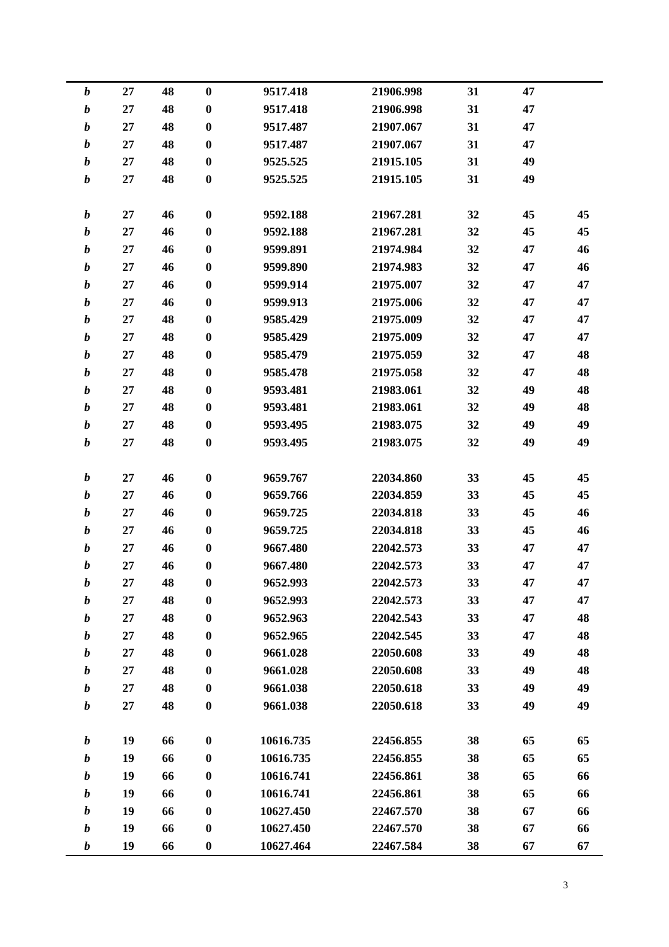| $\boldsymbol{b}$ | 27     | 48 | $\bf{0}$         | 9517.418  | 21906.998 | 31 | 47 |    |
|------------------|--------|----|------------------|-----------|-----------|----|----|----|
| $\boldsymbol{b}$ | 27     | 48 | $\bf{0}$         | 9517.418  | 21906.998 | 31 | 47 |    |
| $\boldsymbol{b}$ | 27     | 48 | $\bf{0}$         | 9517.487  | 21907.067 | 31 | 47 |    |
| $\boldsymbol{b}$ | 27     | 48 | $\bf{0}$         | 9517.487  | 21907.067 | 31 | 47 |    |
| $\boldsymbol{b}$ | 27     | 48 | $\bf{0}$         | 9525.525  | 21915.105 | 31 | 49 |    |
| $\boldsymbol{b}$ | 27     | 48 | $\bf{0}$         | 9525.525  | 21915.105 | 31 | 49 |    |
|                  |        |    |                  |           |           |    |    |    |
| $\boldsymbol{b}$ | 27     | 46 | $\bf{0}$         | 9592.188  | 21967.281 | 32 | 45 | 45 |
| $\boldsymbol{b}$ | 27     | 46 | $\bf{0}$         | 9592.188  | 21967.281 | 32 | 45 | 45 |
| $\boldsymbol{b}$ | 27     | 46 | $\bf{0}$         | 9599.891  | 21974.984 | 32 | 47 | 46 |
| $\boldsymbol{b}$ | 27     | 46 | $\bf{0}$         | 9599.890  | 21974.983 | 32 | 47 | 46 |
| $\boldsymbol{b}$ | 27     | 46 | $\bf{0}$         | 9599.914  | 21975.007 | 32 | 47 | 47 |
| $\boldsymbol{b}$ | 27     | 46 | $\bf{0}$         | 9599.913  | 21975.006 | 32 | 47 | 47 |
| $\boldsymbol{b}$ | 27     | 48 | $\bf{0}$         | 9585.429  | 21975.009 | 32 | 47 | 47 |
| $\boldsymbol{b}$ | 27     | 48 | $\bf{0}$         | 9585.429  | 21975.009 | 32 | 47 | 47 |
| $\boldsymbol{b}$ | 27     | 48 | $\bf{0}$         | 9585.479  | 21975.059 | 32 | 47 | 48 |
| $\boldsymbol{b}$ | 27     | 48 | $\bf{0}$         | 9585.478  | 21975.058 | 32 | 47 | 48 |
| $\boldsymbol{b}$ | 27     | 48 | $\bf{0}$         | 9593.481  | 21983.061 | 32 | 49 | 48 |
| $\boldsymbol{b}$ | 27     | 48 | $\bf{0}$         | 9593.481  | 21983.061 | 32 | 49 | 48 |
| $\boldsymbol{b}$ | 27     | 48 | $\bf{0}$         | 9593.495  | 21983.075 | 32 | 49 | 49 |
| $\boldsymbol{b}$ | 27     | 48 | $\bf{0}$         | 9593.495  | 21983.075 | 32 | 49 | 49 |
|                  |        |    |                  |           |           |    |    |    |
| $\boldsymbol{b}$ | 27     | 46 | $\bf{0}$         | 9659.767  | 22034.860 | 33 | 45 | 45 |
| $\boldsymbol{b}$ | 27     | 46 | $\bf{0}$         | 9659.766  | 22034.859 | 33 | 45 | 45 |
| $\boldsymbol{b}$ | 27     | 46 | $\boldsymbol{0}$ | 9659.725  | 22034.818 | 33 | 45 | 46 |
| $\boldsymbol{b}$ | 27     | 46 | $\bf{0}$         | 9659.725  | 22034.818 | 33 | 45 | 46 |
| $\boldsymbol{b}$ | 27     | 46 | $\bf{0}$         | 9667.480  | 22042.573 | 33 | 47 | 47 |
| $\boldsymbol{b}$ | 27     | 46 | $\bf{0}$         | 9667.480  | 22042.573 | 33 | 47 | 47 |
| $\boldsymbol{b}$ | $27\,$ | 48 | $\boldsymbol{0}$ | 9652.993  | 22042.573 | 33 | 47 | 47 |
| $\boldsymbol{b}$ | 27     | 48 | $\bf{0}$         | 9652.993  | 22042.573 | 33 | 47 | 47 |
| $\boldsymbol{b}$ | 27     | 48 | $\bf{0}$         | 9652.963  | 22042.543 | 33 | 47 | 48 |
| $\boldsymbol{b}$ | 27     | 48 | $\bf{0}$         | 9652.965  | 22042.545 | 33 | 47 | 48 |
| $\boldsymbol{b}$ | 27     | 48 | $\bf{0}$         | 9661.028  | 22050.608 | 33 | 49 | 48 |
| $\boldsymbol{b}$ | 27     | 48 | $\bf{0}$         | 9661.028  | 22050.608 | 33 | 49 | 48 |
| $\boldsymbol{b}$ | 27     | 48 | $\bf{0}$         | 9661.038  | 22050.618 | 33 | 49 | 49 |
| $\boldsymbol{b}$ | 27     | 48 | $\bf{0}$         | 9661.038  | 22050.618 | 33 | 49 | 49 |
|                  |        |    |                  |           |           |    |    |    |
| $\boldsymbol{b}$ | 19     | 66 | $\bf{0}$         | 10616.735 | 22456.855 | 38 | 65 | 65 |
| $\boldsymbol{b}$ | 19     | 66 | $\boldsymbol{0}$ | 10616.735 | 22456.855 | 38 | 65 | 65 |
| $\boldsymbol{b}$ | 19     | 66 | $\bf{0}$         | 10616.741 | 22456.861 | 38 | 65 | 66 |
| $\boldsymbol{b}$ | 19     | 66 | $\bf{0}$         | 10616.741 | 22456.861 | 38 | 65 | 66 |
| $\boldsymbol{b}$ | 19     | 66 | $\bf{0}$         | 10627.450 | 22467.570 | 38 | 67 | 66 |
| $\boldsymbol{b}$ | 19     | 66 | $\bf{0}$         | 10627.450 | 22467.570 | 38 | 67 | 66 |
| $\boldsymbol{b}$ | 19     | 66 | $\boldsymbol{0}$ | 10627.464 | 22467.584 | 38 | 67 | 67 |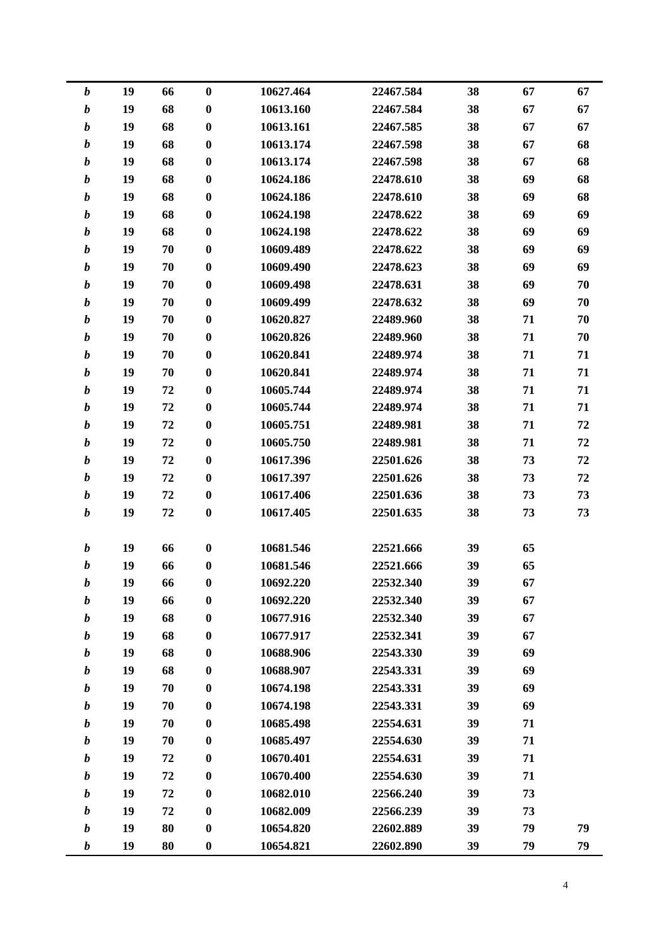| $\boldsymbol{b}$ | 19 | 66 | $\boldsymbol{0}$ | 10627.464 | 22467.584 | 38 | 67 | 67 |
|------------------|----|----|------------------|-----------|-----------|----|----|----|
| $\boldsymbol{b}$ | 19 | 68 | $\boldsymbol{0}$ | 10613.160 | 22467.584 | 38 | 67 | 67 |
| $\boldsymbol{b}$ | 19 | 68 | $\boldsymbol{0}$ | 10613.161 | 22467.585 | 38 | 67 | 67 |
| $\boldsymbol{b}$ | 19 | 68 | $\boldsymbol{0}$ | 10613.174 | 22467.598 | 38 | 67 | 68 |
| $\boldsymbol{b}$ | 19 | 68 | $\bf{0}$         | 10613.174 | 22467.598 | 38 | 67 | 68 |
| $\boldsymbol{b}$ | 19 | 68 | $\boldsymbol{0}$ | 10624.186 | 22478.610 | 38 | 69 | 68 |
| $\boldsymbol{b}$ | 19 | 68 | $\boldsymbol{0}$ | 10624.186 | 22478.610 | 38 | 69 | 68 |
| $\boldsymbol{b}$ | 19 | 68 | $\boldsymbol{0}$ | 10624.198 | 22478.622 | 38 | 69 | 69 |
| $\boldsymbol{b}$ | 19 | 68 | $\boldsymbol{0}$ | 10624.198 | 22478.622 | 38 | 69 | 69 |
| $\boldsymbol{b}$ | 19 | 70 | $\bf{0}$         | 10609.489 | 22478.622 | 38 | 69 | 69 |
| $\boldsymbol{b}$ | 19 | 70 | $\boldsymbol{0}$ | 10609.490 | 22478.623 | 38 | 69 | 69 |
| $\boldsymbol{b}$ | 19 | 70 | $\boldsymbol{0}$ | 10609.498 | 22478.631 | 38 | 69 | 70 |
| $\boldsymbol{b}$ | 19 | 70 | $\boldsymbol{0}$ | 10609.499 | 22478.632 | 38 | 69 | 70 |
| $\boldsymbol{b}$ | 19 | 70 | $\boldsymbol{0}$ | 10620.827 | 22489.960 | 38 | 71 | 70 |
| $\boldsymbol{b}$ | 19 | 70 | $\bf{0}$         | 10620.826 | 22489.960 | 38 | 71 | 70 |
| $\boldsymbol{b}$ | 19 | 70 | $\boldsymbol{0}$ | 10620.841 | 22489.974 | 38 | 71 | 71 |
| $\boldsymbol{b}$ | 19 | 70 | $\boldsymbol{0}$ | 10620.841 | 22489.974 | 38 | 71 | 71 |
| $\boldsymbol{b}$ | 19 | 72 | $\boldsymbol{0}$ | 10605.744 | 22489.974 | 38 | 71 | 71 |
| $\boldsymbol{b}$ | 19 | 72 | $\boldsymbol{0}$ | 10605.744 | 22489.974 | 38 | 71 | 71 |
| $\boldsymbol{b}$ | 19 | 72 | $\bf{0}$         | 10605.751 | 22489.981 | 38 | 71 | 72 |
| $\boldsymbol{b}$ | 19 | 72 | $\boldsymbol{0}$ | 10605.750 | 22489.981 | 38 | 71 | 72 |
| $\boldsymbol{b}$ | 19 | 72 | $\boldsymbol{0}$ | 10617.396 | 22501.626 | 38 | 73 | 72 |
| $\boldsymbol{b}$ | 19 | 72 | $\boldsymbol{0}$ | 10617.397 | 22501.626 | 38 | 73 | 72 |
| $\boldsymbol{b}$ | 19 | 72 | $\boldsymbol{0}$ | 10617.406 | 22501.636 | 38 | 73 | 73 |
| $\boldsymbol{b}$ | 19 | 72 | $\bf{0}$         | 10617.405 | 22501.635 | 38 | 73 | 73 |
|                  |    |    |                  |           |           |    |    |    |
| $\boldsymbol{b}$ | 19 | 66 | $\bf{0}$         | 10681.546 | 22521.666 | 39 | 65 |    |
| $\boldsymbol{b}$ | 19 | 66 | $\boldsymbol{0}$ | 10681.546 | 22521.666 | 39 | 65 |    |
| b                | 19 | 66 | 0                | 10692.220 | 22532.340 | 39 | 67 |    |
| $\boldsymbol{b}$ | 19 | 66 | $\bf{0}$         | 10692.220 | 22532.340 | 39 | 67 |    |
| b                | 19 | 68 | $\boldsymbol{0}$ | 10677.916 | 22532.340 | 39 | 67 |    |
| $\boldsymbol{b}$ | 19 | 68 | $\boldsymbol{0}$ | 10677.917 | 22532.341 | 39 | 67 |    |
| b                | 19 | 68 | $\boldsymbol{0}$ | 10688.906 | 22543.330 | 39 | 69 |    |
| b                | 19 | 68 | $\boldsymbol{0}$ | 10688.907 | 22543.331 | 39 | 69 |    |
| $\boldsymbol{b}$ | 19 | 70 | $\bf{0}$         | 10674.198 | 22543.331 | 39 | 69 |    |
| b                | 19 | 70 | $\boldsymbol{0}$ | 10674.198 | 22543.331 | 39 | 69 |    |
| $\boldsymbol{b}$ | 19 | 70 | $\boldsymbol{0}$ | 10685.498 | 22554.631 | 39 | 71 |    |
| b                | 19 | 70 | $\bf{0}$         | 10685.497 | 22554.630 | 39 | 71 |    |
| $\boldsymbol{b}$ | 19 | 72 | $\boldsymbol{0}$ | 10670.401 | 22554.631 | 39 | 71 |    |
| $\boldsymbol{b}$ | 19 | 72 | $\bf{0}$         | 10670.400 | 22554.630 | 39 | 71 |    |
| b                | 19 | 72 | $\boldsymbol{0}$ | 10682.010 | 22566.240 | 39 | 73 |    |
| $\boldsymbol{b}$ | 19 | 72 | $\boldsymbol{0}$ | 10682.009 | 22566.239 | 39 | 73 |    |
| b                | 19 | 80 | $\boldsymbol{0}$ | 10654.820 | 22602.889 | 39 | 79 | 79 |
| $\boldsymbol{b}$ | 19 | 80 | $\boldsymbol{0}$ | 10654.821 | 22602.890 | 39 | 79 | 79 |
|                  |    |    |                  |           |           |    |    |    |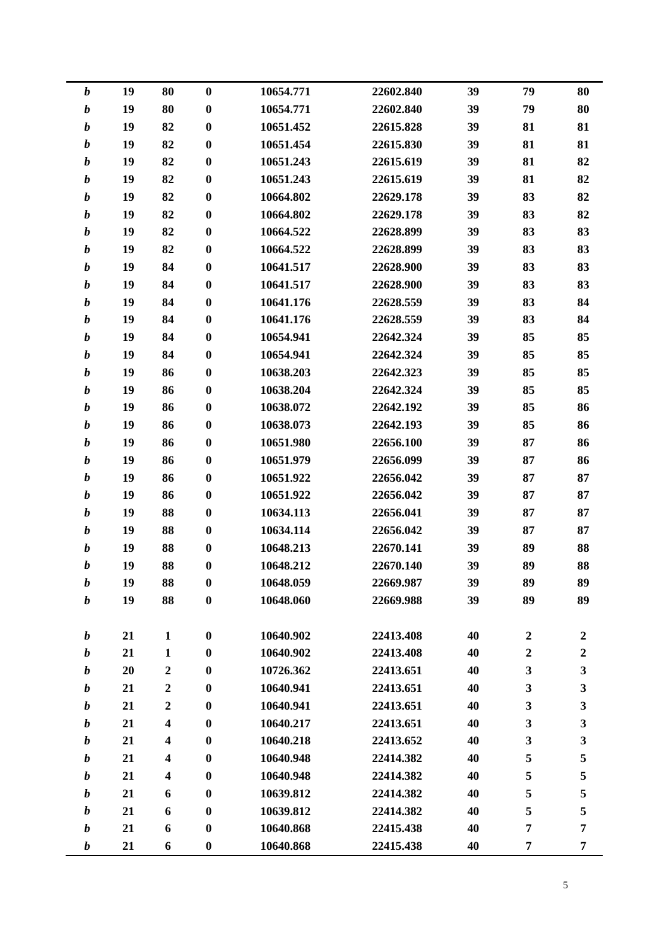| $\boldsymbol{b}$ | 19 | 80               | $\boldsymbol{0}$ | 10654.771 | 22602.840 | 39 | 79               | 80               |
|------------------|----|------------------|------------------|-----------|-----------|----|------------------|------------------|
| $\boldsymbol{b}$ | 19 | 80               | $\boldsymbol{0}$ | 10654.771 | 22602.840 | 39 | 79               | 80               |
| $\boldsymbol{b}$ | 19 | 82               | $\boldsymbol{0}$ | 10651.452 | 22615.828 | 39 | 81               | 81               |
| $\boldsymbol{b}$ | 19 | 82               | $\boldsymbol{0}$ | 10651.454 | 22615.830 | 39 | 81               | 81               |
| $\boldsymbol{b}$ | 19 | 82               | $\bf{0}$         | 10651.243 | 22615.619 | 39 | 81               | 82               |
| b                | 19 | 82               | $\boldsymbol{0}$ | 10651.243 | 22615.619 | 39 | 81               | 82               |
| $\boldsymbol{b}$ | 19 | 82               | $\boldsymbol{0}$ | 10664.802 | 22629.178 | 39 | 83               | 82               |
| $\boldsymbol{b}$ | 19 | 82               | $\boldsymbol{0}$ | 10664.802 | 22629.178 | 39 | 83               | 82               |
| $\boldsymbol{b}$ | 19 | 82               | $\boldsymbol{0}$ | 10664.522 | 22628.899 | 39 | 83               | 83               |
| $\boldsymbol{b}$ | 19 | 82               | $\bf{0}$         | 10664.522 | 22628.899 | 39 | 83               | 83               |
| $\boldsymbol{b}$ | 19 | 84               | $\boldsymbol{0}$ | 10641.517 | 22628.900 | 39 | 83               | 83               |
| $\boldsymbol{b}$ | 19 | 84               | $\boldsymbol{0}$ | 10641.517 | 22628.900 | 39 | 83               | 83               |
| $\boldsymbol{b}$ | 19 | 84               | $\boldsymbol{0}$ | 10641.176 | 22628.559 | 39 | 83               | 84               |
| $\boldsymbol{b}$ | 19 | 84               | $\boldsymbol{0}$ | 10641.176 | 22628.559 | 39 | 83               | 84               |
| $\boldsymbol{b}$ | 19 | 84               | $\bf{0}$         | 10654.941 | 22642.324 | 39 | 85               | 85               |
| b                | 19 | 84               | $\boldsymbol{0}$ | 10654.941 | 22642.324 | 39 | 85               | 85               |
| $\boldsymbol{b}$ | 19 | 86               | $\boldsymbol{0}$ | 10638.203 | 22642.323 | 39 | 85               | 85               |
| $\boldsymbol{b}$ | 19 | 86               | $\boldsymbol{0}$ | 10638.204 | 22642.324 | 39 | 85               | 85               |
| $\boldsymbol{b}$ | 19 | 86               | $\boldsymbol{0}$ | 10638.072 | 22642.192 | 39 | 85               | 86               |
| $\boldsymbol{b}$ | 19 | 86               | $\bf{0}$         | 10638.073 | 22642.193 | 39 | 85               | 86               |
| $\boldsymbol{b}$ | 19 | 86               | $\boldsymbol{0}$ | 10651.980 | 22656.100 | 39 | 87               | 86               |
| $\boldsymbol{b}$ | 19 | 86               | $\boldsymbol{0}$ | 10651.979 | 22656.099 | 39 | 87               | 86               |
| $\boldsymbol{b}$ | 19 | 86               | $\bf{0}$         | 10651.922 | 22656.042 | 39 | 87               | 87               |
| $\boldsymbol{b}$ | 19 | 86               | $\boldsymbol{0}$ | 10651.922 | 22656.042 | 39 | 87               | 87               |
| $\boldsymbol{b}$ | 19 | 88               | $\bf{0}$         | 10634.113 | 22656.041 | 39 | 87               | 87               |
| b                | 19 | 88               | $\boldsymbol{0}$ | 10634.114 | 22656.042 | 39 | 87               | 87               |
| $\boldsymbol{b}$ | 19 | 88               | $\boldsymbol{0}$ | 10648.213 | 22670.141 | 39 | 89               | 88               |
| b                | 19 | 88               | 0                | 10648.212 | 22670.140 | 39 | 89               | 88               |
| b                | 19 | 88               | 0                | 10648.059 | 22669.987 | 39 | 89               | 89               |
| $\boldsymbol{b}$ | 19 | 88               | $\bf{0}$         | 10648.060 | 22669.988 | 39 | 89               | 89               |
|                  |    |                  |                  |           |           |    |                  |                  |
| b                | 21 | $\mathbf{1}$     | $\bf{0}$         | 10640.902 | 22413.408 | 40 | $\boldsymbol{2}$ | $\boldsymbol{2}$ |
| $\boldsymbol{b}$ | 21 | $\mathbf{1}$     | $\bf{0}$         | 10640.902 | 22413.408 | 40 | $\boldsymbol{2}$ | $\boldsymbol{2}$ |
| $\boldsymbol{b}$ | 20 | $\boldsymbol{2}$ | $\boldsymbol{0}$ | 10726.362 | 22413.651 | 40 | 3                | $\mathbf{3}$     |
| $\boldsymbol{b}$ | 21 | $\boldsymbol{2}$ | $\bf{0}$         | 10640.941 | 22413.651 | 40 | 3                | $\mathbf{3}$     |
| b                | 21 | $\boldsymbol{2}$ | $\bf{0}$         | 10640.941 | 22413.651 | 40 | 3                | $\mathbf{3}$     |
| $\boldsymbol{b}$ | 21 | 4                | $\bf{0}$         | 10640.217 | 22413.651 | 40 | 3                | $\mathbf{3}$     |
| b                | 21 | 4                | $\bf{0}$         | 10640.218 | 22413.652 | 40 | 3                | $\mathbf{3}$     |
| $\boldsymbol{b}$ | 21 | 4                | $\boldsymbol{0}$ | 10640.948 | 22414.382 | 40 | 5                | 5                |
| $\boldsymbol{b}$ | 21 | 4                | $\bf{0}$         | 10640.948 | 22414.382 | 40 | 5                | 5                |
| b                | 21 | 6                | $\bf{0}$         | 10639.812 | 22414.382 | 40 | 5                | 5                |
| $\boldsymbol{b}$ | 21 | 6                | $\boldsymbol{0}$ | 10639.812 | 22414.382 | 40 | 5                | 5                |
| b                | 21 | 6                | $\boldsymbol{0}$ | 10640.868 | 22415.438 | 40 | $\overline{7}$   | $\overline{7}$   |
| $\boldsymbol{b}$ | 21 | 6                | $\boldsymbol{0}$ | 10640.868 | 22415.438 | 40 | 7                | 7                |
|                  |    |                  |                  |           |           |    |                  |                  |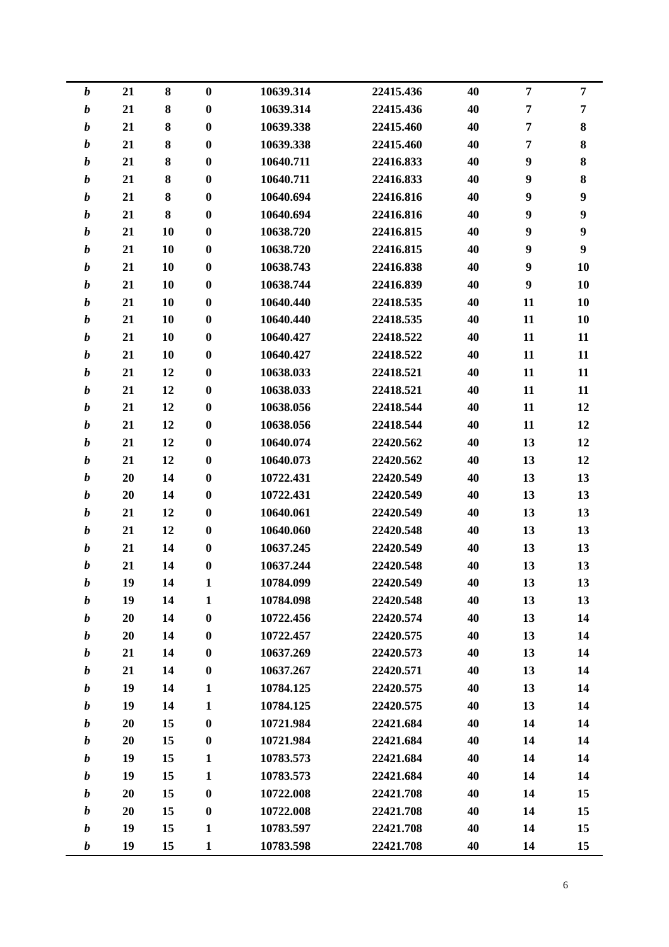|                  | 21<br>$\boldsymbol{b}$ | 8         | $\boldsymbol{0}$ | 10639.314 | 22415.436 | 40 | $\overline{7}$ | $\overline{7}$   |
|------------------|------------------------|-----------|------------------|-----------|-----------|----|----------------|------------------|
| $\boldsymbol{b}$ | 21                     | ${\bf 8}$ | $\boldsymbol{0}$ | 10639.314 | 22415.436 | 40 | 7              | $\overline{7}$   |
| $\boldsymbol{b}$ | 21                     | 8         | $\boldsymbol{0}$ | 10639.338 | 22415.460 | 40 | $\overline{7}$ | $\bf{8}$         |
| $\boldsymbol{b}$ | 21                     | 8         | $\bf{0}$         | 10639.338 | 22415.460 | 40 | 7              | $\bf 8$          |
| $\boldsymbol{b}$ | 21                     | $\bf 8$   | $\bf{0}$         | 10640.711 | 22416.833 | 40 | 9              | $\bf{8}$         |
| $\boldsymbol{b}$ | 21                     | ${\bf 8}$ | $\boldsymbol{0}$ | 10640.711 | 22416.833 | 40 | 9              | $\bf 8$          |
| $\boldsymbol{b}$ | 21                     | ${\bf 8}$ | $\bf{0}$         | 10640.694 | 22416.816 | 40 | 9              | $\boldsymbol{9}$ |
| $\boldsymbol{b}$ | 21                     | ${\bf 8}$ | $\bf{0}$         | 10640.694 | 22416.816 | 40 | 9              | $\boldsymbol{9}$ |
| $\boldsymbol{b}$ | 21                     | 10        | $\bf{0}$         | 10638.720 | 22416.815 | 40 | 9              | $\boldsymbol{9}$ |
| $\boldsymbol{b}$ | 21                     | 10        | $\bf{0}$         | 10638.720 | 22416.815 | 40 | 9              | $\boldsymbol{9}$ |
| $\boldsymbol{b}$ | 21                     | 10        | $\bf{0}$         | 10638.743 | 22416.838 | 40 | 9              | 10               |
| $\boldsymbol{b}$ | 21                     | 10        | $\boldsymbol{0}$ | 10638.744 | 22416.839 | 40 | 9              | 10               |
| $\boldsymbol{b}$ | 21                     | 10        | $\boldsymbol{0}$ | 10640.440 | 22418.535 | 40 | 11             | 10               |
| $\boldsymbol{b}$ | 21                     | 10        | $\bf{0}$         | 10640.440 | 22418.535 | 40 | 11             | 10               |
| $\boldsymbol{b}$ | 21                     | 10        | $\bf{0}$         | 10640.427 | 22418.522 | 40 | 11             | 11               |
| $\boldsymbol{b}$ | 21                     | 10        | $\boldsymbol{0}$ | 10640.427 | 22418.522 | 40 | 11             | 11               |
| $\boldsymbol{b}$ | 21                     | 12        | $\boldsymbol{0}$ | 10638.033 | 22418.521 | 40 | 11             | 11               |
| $\boldsymbol{b}$ | 21                     | 12        | $\bf{0}$         | 10638.033 | 22418.521 | 40 | 11             | 11               |
| $\boldsymbol{b}$ | 21                     | 12        | $\bf{0}$         | 10638.056 | 22418.544 | 40 | 11             | 12               |
| $\boldsymbol{b}$ | 21                     | 12        | $\boldsymbol{0}$ | 10638.056 | 22418.544 | 40 | 11             | 12               |
| $\boldsymbol{b}$ | 21                     | 12        | $\bf{0}$         | 10640.074 | 22420.562 | 40 | 13             | 12               |
| $\boldsymbol{b}$ | 21                     | 12        | $\boldsymbol{0}$ | 10640.073 | 22420.562 | 40 | 13             | 12               |
| $\boldsymbol{b}$ | 20                     | 14        | $\bf{0}$         | 10722.431 | 22420.549 | 40 | 13             | 13               |
| $\boldsymbol{b}$ | 20                     | 14        | $\bf{0}$         | 10722.431 | 22420.549 | 40 | 13             | 13               |
| $\boldsymbol{b}$ | 21                     | 12        | $\bf{0}$         | 10640.061 | 22420.549 | 40 | 13             | 13               |
| $\boldsymbol{b}$ | 21                     | 12        | $\boldsymbol{0}$ | 10640.060 | 22420.548 | 40 | 13             | 13               |
| $\boldsymbol{b}$ | 21                     | 14        | $\boldsymbol{0}$ | 10637.245 | 22420.549 | 40 | 13             | 13               |
| $\boldsymbol{b}$ | 21                     | 14        | $\bf{0}$         | 10637.244 | 22420.548 | 40 | 13             | 13               |
| $\boldsymbol{b}$ | 19                     | 14        | 1                | 10784.099 | 22420.549 | 40 | 13             | 13               |
|                  | 19<br>$\boldsymbol{b}$ | 14        | $\mathbf{1}$     | 10784.098 | 22420.548 | 40 | 13             | 13               |
|                  | 20<br>$\boldsymbol{b}$ | 14        | $\boldsymbol{0}$ | 10722.456 | 22420.574 | 40 | 13             | 14               |
| $\boldsymbol{b}$ | 20                     | 14        | $\boldsymbol{0}$ | 10722.457 | 22420.575 | 40 | 13             | 14               |
| $\boldsymbol{b}$ | 21                     | 14        | $\bf{0}$         | 10637.269 | 22420.573 | 40 | 13             | 14               |
| $\boldsymbol{b}$ | 21                     | 14        | $\bf{0}$         | 10637.267 | 22420.571 | 40 | 13             | 14               |
| $\boldsymbol{b}$ | 19                     | 14        | $\mathbf{1}$     | 10784.125 | 22420.575 | 40 | 13             | 14               |
| $\boldsymbol{b}$ | 19                     | 14        | $\mathbf{1}$     | 10784.125 | 22420.575 | 40 | 13             | 14               |
| $\boldsymbol{b}$ | 20                     | 15        | $\boldsymbol{0}$ | 10721.984 | 22421.684 | 40 | 14             | 14               |
| $\boldsymbol{b}$ | 20                     | 15        | $\boldsymbol{0}$ | 10721.984 | 22421.684 | 40 | 14             | 14               |
| $\boldsymbol{b}$ | 19                     | 15        | $\mathbf{1}$     | 10783.573 | 22421.684 | 40 | 14             | 14               |
| $\boldsymbol{b}$ | 19                     | 15        | $\mathbf{1}$     | 10783.573 | 22421.684 | 40 | 14             | 14               |
| $\boldsymbol{b}$ | 20                     | 15        | $\boldsymbol{0}$ | 10722.008 | 22421.708 | 40 | 14             | 15               |
| $\boldsymbol{b}$ | 20                     | 15        | $\boldsymbol{0}$ | 10722.008 | 22421.708 | 40 | 14             | 15               |
| $\boldsymbol{b}$ | 19                     | 15        | $\mathbf{1}$     | 10783.597 | 22421.708 | 40 | 14             | 15               |
|                  | $\boldsymbol{b}$<br>19 | 15        | $\mathbf{1}$     | 10783.598 | 22421.708 | 40 | 14             | 15               |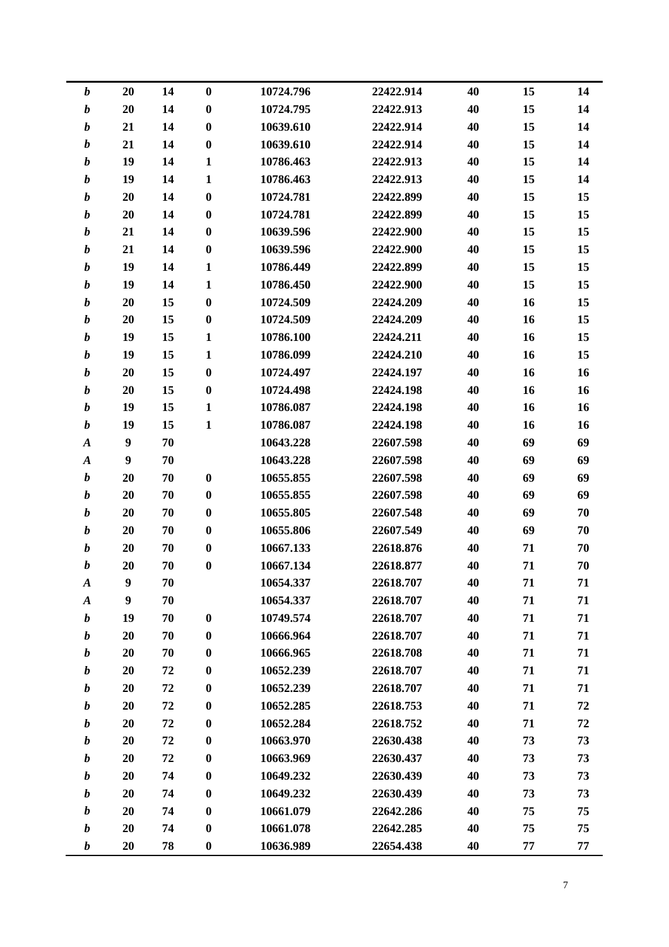| $\boldsymbol{b}$ | 20               | 14 | $\boldsymbol{0}$ | 10724.796 | 22422.914 | 40 | 15 | 14 |
|------------------|------------------|----|------------------|-----------|-----------|----|----|----|
| $\boldsymbol{b}$ | 20               | 14 | $\boldsymbol{0}$ | 10724.795 | 22422.913 | 40 | 15 | 14 |
| $\boldsymbol{b}$ | 21               | 14 | $\boldsymbol{0}$ | 10639.610 | 22422.914 | 40 | 15 | 14 |
| $\boldsymbol{b}$ | 21               | 14 | $\boldsymbol{0}$ | 10639.610 | 22422.914 | 40 | 15 | 14 |
| $\boldsymbol{b}$ | 19               | 14 | $\mathbf{1}$     | 10786.463 | 22422.913 | 40 | 15 | 14 |
| $\boldsymbol{b}$ | 19               | 14 | $\mathbf{1}$     | 10786.463 | 22422.913 | 40 | 15 | 14 |
| $\boldsymbol{b}$ | 20               | 14 | $\bf{0}$         | 10724.781 | 22422.899 | 40 | 15 | 15 |
| $\boldsymbol{b}$ | 20               | 14 | $\boldsymbol{0}$ | 10724.781 | 22422.899 | 40 | 15 | 15 |
| $\boldsymbol{b}$ | 21               | 14 | $\bf{0}$         | 10639.596 | 22422.900 | 40 | 15 | 15 |
| $\boldsymbol{b}$ | 21               | 14 | $\boldsymbol{0}$ | 10639.596 | 22422.900 | 40 | 15 | 15 |
| $\boldsymbol{b}$ | 19               | 14 | $\mathbf{1}$     | 10786.449 | 22422.899 | 40 | 15 | 15 |
| $\boldsymbol{b}$ | 19               | 14 | $\mathbf{1}$     | 10786.450 | 22422.900 | 40 | 15 | 15 |
| $\boldsymbol{b}$ | 20               | 15 | $\bf{0}$         | 10724.509 | 22424.209 | 40 | 16 | 15 |
| $\boldsymbol{b}$ | 20               | 15 | $\bf{0}$         | 10724.509 | 22424.209 | 40 | 16 | 15 |
| $\boldsymbol{b}$ | 19               | 15 | $\mathbf{1}$     | 10786.100 | 22424.211 | 40 | 16 | 15 |
| $\boldsymbol{b}$ | 19               | 15 | $\mathbf{1}$     | 10786.099 | 22424.210 | 40 | 16 | 15 |
| $\boldsymbol{b}$ | 20               | 15 | $\bf{0}$         | 10724.497 | 22424.197 | 40 | 16 | 16 |
| $\boldsymbol{b}$ | 20               | 15 | $\boldsymbol{0}$ | 10724.498 | 22424.198 | 40 | 16 | 16 |
| $\boldsymbol{b}$ | 19               | 15 | $\mathbf{1}$     | 10786.087 | 22424.198 | 40 | 16 | 16 |
| $\boldsymbol{b}$ | 19               | 15 | $\mathbf{1}$     | 10786.087 | 22424.198 | 40 | 16 | 16 |
| $\boldsymbol{A}$ | $\boldsymbol{9}$ | 70 |                  | 10643.228 | 22607.598 | 40 | 69 | 69 |
| $\boldsymbol{A}$ | $\boldsymbol{9}$ | 70 |                  | 10643.228 | 22607.598 | 40 | 69 | 69 |
| $\boldsymbol{b}$ | 20               | 70 | $\bf{0}$         | 10655.855 | 22607.598 | 40 | 69 | 69 |
| $\boldsymbol{b}$ | 20               | 70 | $\bf{0}$         | 10655.855 | 22607.598 | 40 | 69 | 69 |
| $\boldsymbol{b}$ | 20               | 70 | $\boldsymbol{0}$ | 10655.805 | 22607.548 | 40 | 69 | 70 |
| $\boldsymbol{b}$ | 20               | 70 | $\boldsymbol{0}$ | 10655.806 | 22607.549 | 40 | 69 | 70 |
| $\boldsymbol{b}$ | 20               | 70 | $\boldsymbol{0}$ | 10667.133 | 22618.876 | 40 | 71 | 70 |
| b                | 20               | 70 | $\boldsymbol{0}$ | 10667.134 | 22618.877 | 40 | 71 | 70 |
| A                | 9                | 70 |                  | 10654.337 | 22618.707 | 40 | 71 | 71 |
| $\boldsymbol{A}$ | $\boldsymbol{9}$ | 70 |                  | 10654.337 | 22618.707 | 40 | 71 | 71 |
| $\boldsymbol{b}$ | 19               | 70 | $\boldsymbol{0}$ | 10749.574 | 22618.707 | 40 | 71 | 71 |
| $\boldsymbol{b}$ | 20               | 70 | $\boldsymbol{0}$ | 10666.964 | 22618.707 | 40 | 71 | 71 |
| $\boldsymbol{b}$ | 20               | 70 | $\boldsymbol{0}$ | 10666.965 | 22618.708 | 40 | 71 | 71 |
| b                | 20               | 72 | $\boldsymbol{0}$ | 10652.239 | 22618.707 | 40 | 71 | 71 |
| $\boldsymbol{b}$ | 20               | 72 | $\boldsymbol{0}$ | 10652.239 | 22618.707 | 40 | 71 | 71 |
| $\boldsymbol{b}$ | 20               | 72 | $\boldsymbol{0}$ | 10652.285 | 22618.753 | 40 | 71 | 72 |
| $\boldsymbol{b}$ | 20               | 72 | $\boldsymbol{0}$ | 10652.284 | 22618.752 | 40 | 71 | 72 |
| b                | 20               | 72 | $\boldsymbol{0}$ | 10663.970 | 22630.438 | 40 | 73 | 73 |
| $\boldsymbol{b}$ | 20               | 72 | $\boldsymbol{0}$ | 10663.969 | 22630.437 | 40 | 73 | 73 |
| $\boldsymbol{b}$ | 20               | 74 | $\boldsymbol{0}$ | 10649.232 | 22630.439 | 40 | 73 | 73 |
| b                | 20               | 74 | $\boldsymbol{0}$ | 10649.232 | 22630.439 | 40 | 73 | 73 |
| $\boldsymbol{b}$ | 20               | 74 | $\boldsymbol{0}$ | 10661.079 | 22642.286 | 40 | 75 | 75 |
| b                | 20               | 74 | $\boldsymbol{0}$ | 10661.078 | 22642.285 | 40 | 75 | 75 |
| b                | 20               | 78 | $\boldsymbol{0}$ | 10636.989 | 22654.438 | 40 | 77 | 77 |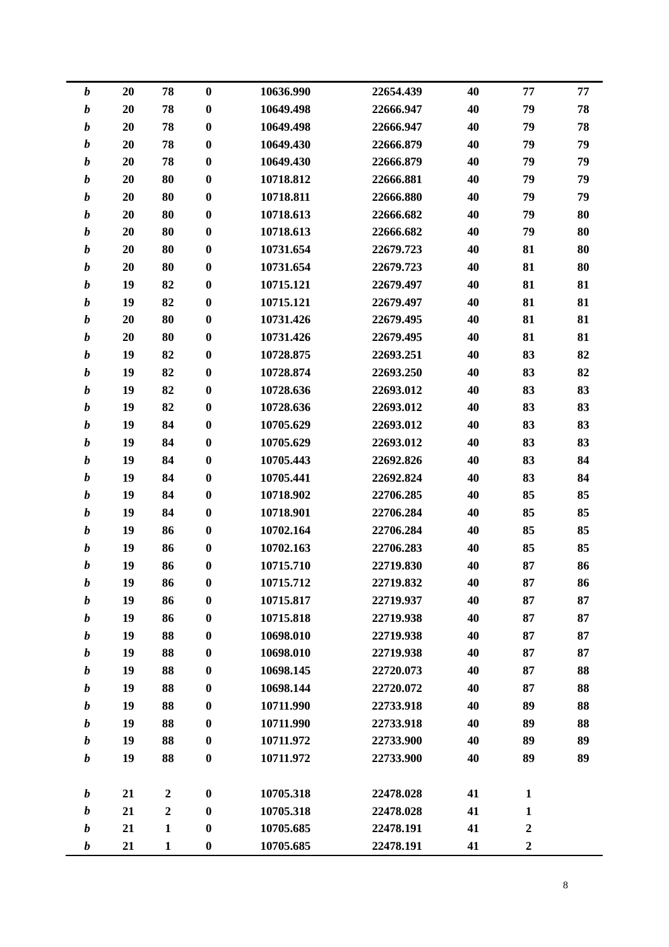| $\boldsymbol{b}$ | 20 | 78               | $\boldsymbol{0}$ | 10636.990 | 22654.439 | 40 | 77               | 77 |
|------------------|----|------------------|------------------|-----------|-----------|----|------------------|----|
| $\boldsymbol{b}$ | 20 | 78               | $\bf{0}$         | 10649.498 | 22666.947 | 40 | 79               | 78 |
| $\boldsymbol{b}$ | 20 | 78               | $\bf{0}$         | 10649.498 | 22666.947 | 40 | 79               | 78 |
| $\boldsymbol{b}$ | 20 | 78               | $\bf{0}$         | 10649.430 | 22666.879 | 40 | 79               | 79 |
| $\boldsymbol{b}$ | 20 | 78               | $\bf{0}$         | 10649.430 | 22666.879 | 40 | 79               | 79 |
| $\boldsymbol{b}$ | 20 | 80               | $\bf{0}$         | 10718.812 | 22666.881 | 40 | 79               | 79 |
| $\boldsymbol{b}$ | 20 | 80               | $\bf{0}$         | 10718.811 | 22666.880 | 40 | 79               | 79 |
| $\boldsymbol{b}$ | 20 | 80               | $\bf{0}$         | 10718.613 | 22666.682 | 40 | 79               | 80 |
| $\boldsymbol{b}$ | 20 | 80               | $\bf{0}$         | 10718.613 | 22666.682 | 40 | 79               | 80 |
| $\boldsymbol{b}$ | 20 | 80               | $\bf{0}$         | 10731.654 | 22679.723 | 40 | 81               | 80 |
| $\boldsymbol{b}$ | 20 | 80               | $\bf{0}$         | 10731.654 | 22679.723 | 40 | 81               | 80 |
| $\boldsymbol{b}$ | 19 | 82               | $\bf{0}$         | 10715.121 | 22679.497 | 40 | 81               | 81 |
| $\boldsymbol{b}$ | 19 | 82               | $\bf{0}$         | 10715.121 | 22679.497 | 40 | 81               | 81 |
| $\boldsymbol{b}$ | 20 | 80               | $\bf{0}$         | 10731.426 | 22679.495 | 40 | 81               | 81 |
| $\boldsymbol{b}$ | 20 | 80               | $\bf{0}$         | 10731.426 | 22679.495 | 40 | 81               | 81 |
| $\boldsymbol{b}$ | 19 | 82               | $\bf{0}$         | 10728.875 | 22693.251 | 40 | 83               | 82 |
| $\boldsymbol{b}$ | 19 | 82               | $\bf{0}$         | 10728.874 | 22693.250 | 40 | 83               | 82 |
| $\boldsymbol{b}$ | 19 | 82               | $\bf{0}$         | 10728.636 | 22693.012 | 40 | 83               | 83 |
| $\boldsymbol{b}$ | 19 | 82               | $\bf{0}$         | 10728.636 | 22693.012 | 40 | 83               | 83 |
| $\boldsymbol{b}$ | 19 | 84               | $\bf{0}$         | 10705.629 | 22693.012 | 40 | 83               | 83 |
| $\boldsymbol{b}$ | 19 | 84               | $\bf{0}$         | 10705.629 | 22693.012 | 40 | 83               | 83 |
| $\boldsymbol{b}$ | 19 | 84               | $\bf{0}$         | 10705.443 | 22692.826 | 40 | 83               | 84 |
| $\boldsymbol{b}$ | 19 | 84               | $\bf{0}$         | 10705.441 | 22692.824 | 40 | 83               | 84 |
| $\boldsymbol{b}$ | 19 | 84               | $\bf{0}$         | 10718.902 | 22706.285 | 40 | 85               | 85 |
| $\boldsymbol{b}$ | 19 | 84               | $\bf{0}$         | 10718.901 | 22706.284 | 40 | 85               | 85 |
| $\boldsymbol{b}$ | 19 | 86               | $\bf{0}$         | 10702.164 | 22706.284 | 40 | 85               | 85 |
| $\boldsymbol{b}$ | 19 | 86               | $\boldsymbol{0}$ | 10702.163 | 22706.283 | 40 | 85               | 85 |
| $\boldsymbol{b}$ | 19 | 86               | $\bf{0}$         | 10715.710 | 22719.830 | 40 | 87               | 86 |
| b                | 19 | 86               | $\bf{0}$         | 10715.712 | 22719.832 | 40 | 87               | 86 |
| $\boldsymbol{b}$ | 19 | 86               | $\boldsymbol{0}$ | 10715.817 | 22719.937 | 40 | 87               | 87 |
| $\boldsymbol{b}$ | 19 | 86               | $\boldsymbol{0}$ | 10715.818 | 22719.938 | 40 | 87               | 87 |
| $\boldsymbol{b}$ | 19 | 88               | $\bf{0}$         | 10698.010 | 22719.938 | 40 | 87               | 87 |
| $\boldsymbol{b}$ | 19 | 88               | $\bf{0}$         | 10698.010 | 22719.938 | 40 | 87               | 87 |
| $\boldsymbol{b}$ | 19 | 88               | $\bf{0}$         | 10698.145 | 22720.073 | 40 | 87               | 88 |
| $\boldsymbol{b}$ | 19 | 88               | $\boldsymbol{0}$ | 10698.144 | 22720.072 | 40 | 87               | 88 |
| $\boldsymbol{b}$ | 19 | 88               | $\bf{0}$         | 10711.990 | 22733.918 | 40 | 89               | 88 |
| $\boldsymbol{b}$ | 19 | 88               | $\bf{0}$         | 10711.990 | 22733.918 | 40 | 89               | 88 |
| $\boldsymbol{b}$ | 19 | 88               | $\boldsymbol{0}$ | 10711.972 | 22733.900 | 40 | 89               | 89 |
| $\boldsymbol{b}$ | 19 | 88               | $\boldsymbol{0}$ | 10711.972 | 22733.900 | 40 | 89               | 89 |
|                  |    |                  |                  |           |           |    |                  |    |
| $\boldsymbol{b}$ | 21 | $\boldsymbol{2}$ | $\bf{0}$         | 10705.318 | 22478.028 | 41 | $\mathbf{1}$     |    |
| $\boldsymbol{b}$ | 21 | $\boldsymbol{2}$ | $\bf{0}$         | 10705.318 | 22478.028 | 41 | $\mathbf{1}$     |    |
| $\boldsymbol{b}$ | 21 | $\mathbf{1}$     | $\boldsymbol{0}$ | 10705.685 | 22478.191 | 41 | $\boldsymbol{2}$ |    |
| $\boldsymbol{b}$ | 21 | $\mathbf{1}$     | $\boldsymbol{0}$ | 10705.685 | 22478.191 | 41 | $\boldsymbol{2}$ |    |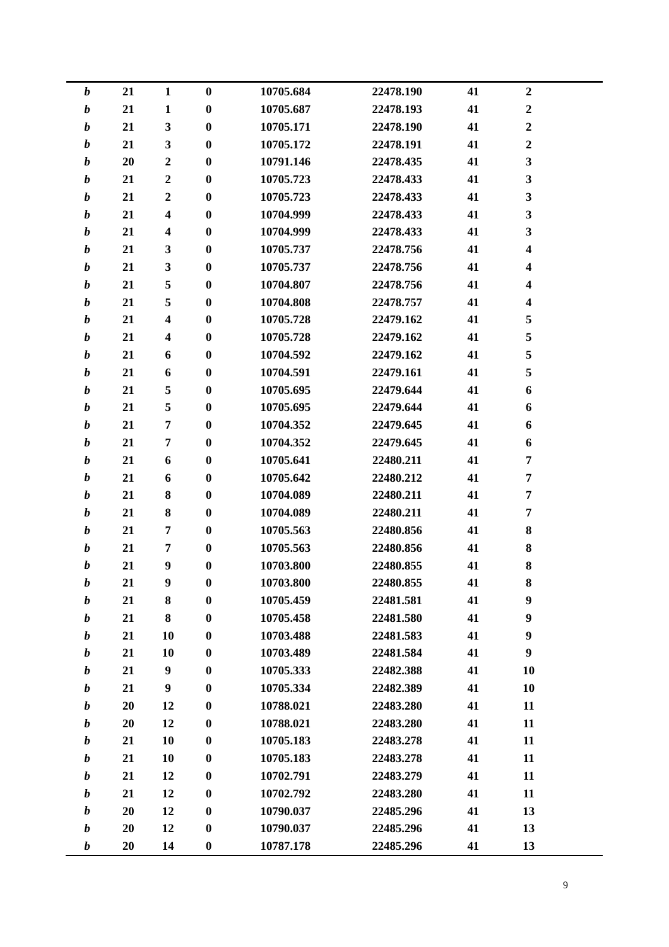| $\boldsymbol{b}$ | 21 | $\mathbf{1}$            | $\boldsymbol{0}$ | 10705.684 | 22478.190 | 41 | $\boldsymbol{2}$ |  |
|------------------|----|-------------------------|------------------|-----------|-----------|----|------------------|--|
| $\boldsymbol{b}$ | 21 | $\mathbf{1}$            | $\boldsymbol{0}$ | 10705.687 | 22478.193 | 41 | $\overline{2}$   |  |
| $\boldsymbol{b}$ | 21 | $\mathbf{3}$            | $\boldsymbol{0}$ | 10705.171 | 22478.190 | 41 | $\boldsymbol{2}$ |  |
| $\boldsymbol{b}$ | 21 | 3                       | $\boldsymbol{0}$ | 10705.172 | 22478.191 | 41 | $\overline{2}$   |  |
| b                | 20 | $\boldsymbol{2}$        | $\bf{0}$         | 10791.146 | 22478.435 | 41 | 3                |  |
| $\boldsymbol{b}$ | 21 | $\mathbf{2}$            | $\boldsymbol{0}$ | 10705.723 | 22478.433 | 41 | 3                |  |
| $\boldsymbol{b}$ | 21 | $\mathbf{2}$            | $\boldsymbol{0}$ | 10705.723 | 22478.433 | 41 | 3                |  |
| $\boldsymbol{b}$ | 21 | $\overline{\mathbf{4}}$ | $\boldsymbol{0}$ | 10704.999 | 22478.433 | 41 | 3                |  |
| $\boldsymbol{b}$ | 21 | 4                       | $\boldsymbol{0}$ | 10704.999 | 22478.433 | 41 | 3                |  |
| $\boldsymbol{b}$ | 21 | 3                       | $\boldsymbol{0}$ | 10705.737 | 22478.756 | 41 | 4                |  |
| $\boldsymbol{b}$ | 21 | 3                       | $\boldsymbol{0}$ | 10705.737 | 22478.756 | 41 | 4                |  |
| $\boldsymbol{b}$ | 21 | 5                       | $\boldsymbol{0}$ | 10704.807 | 22478.756 | 41 | 4                |  |
| $\boldsymbol{b}$ | 21 | 5                       | $\boldsymbol{0}$ | 10704.808 | 22478.757 | 41 | 4                |  |
| $\boldsymbol{b}$ | 21 | 4                       | $\boldsymbol{0}$ | 10705.728 | 22479.162 | 41 | 5                |  |
| b                | 21 | $\overline{\mathbf{4}}$ | $\bf{0}$         | 10705.728 | 22479.162 | 41 | 5                |  |
| $\boldsymbol{b}$ | 21 | 6                       | $\bf{0}$         | 10704.592 | 22479.162 | 41 | 5                |  |
| $\boldsymbol{b}$ | 21 | 6                       | $\bf{0}$         | 10704.591 | 22479.161 | 41 | 5                |  |
| $\boldsymbol{b}$ | 21 | 5                       | $\boldsymbol{0}$ | 10705.695 | 22479.644 | 41 | 6                |  |
| $\boldsymbol{b}$ | 21 | 5                       | $\bf{0}$         | 10705.695 | 22479.644 | 41 | 6                |  |
| $\boldsymbol{b}$ | 21 | 7                       | $\boldsymbol{0}$ | 10704.352 | 22479.645 | 41 | 6                |  |
| $\boldsymbol{b}$ | 21 | 7                       | $\bf{0}$         | 10704.352 | 22479.645 | 41 | 6                |  |
| $\boldsymbol{b}$ | 21 | 6                       | $\boldsymbol{0}$ | 10705.641 | 22480.211 | 41 | 7                |  |
|                  |    |                         |                  |           |           |    |                  |  |
| $\boldsymbol{b}$ | 21 | 6                       | $\boldsymbol{0}$ | 10705.642 | 22480.212 | 41 | 7                |  |
| $\boldsymbol{b}$ | 21 | 8                       | $\boldsymbol{0}$ | 10704.089 | 22480.211 | 41 | 7                |  |
| $\boldsymbol{b}$ | 21 | 8                       | $\boldsymbol{0}$ | 10704.089 | 22480.211 | 41 | 7                |  |
| $\boldsymbol{b}$ | 21 | 7                       | $\bf{0}$         | 10705.563 | 22480.856 | 41 | 8                |  |
| $\boldsymbol{b}$ | 21 | 7                       | $\boldsymbol{0}$ | 10705.563 | 22480.856 | 41 | 8                |  |
| $\boldsymbol{b}$ | 21 | $\boldsymbol{9}$        | $\bf{0}$         | 10703.800 | 22480.855 | 41 | 8                |  |
| $\bm{b}$         | 21 | $\boldsymbol{9}$        | $\boldsymbol{0}$ | 10703.800 | 22480.855 | 41 | 8                |  |
| b                | 21 | 8                       | $\boldsymbol{0}$ | 10705.459 | 22481.581 | 41 | $\boldsymbol{9}$ |  |
| $\boldsymbol{b}$ | 21 | $\bf 8$                 | $\bf{0}$         | 10705.458 | 22481.580 | 41 | 9                |  |
| b                | 21 | 10                      | $\boldsymbol{0}$ | 10703.488 | 22481.583 | 41 | 9                |  |
| b                | 21 | 10                      | $\bf{0}$         | 10703.489 | 22481.584 | 41 | 9                |  |
| b                | 21 | 9                       | $\bf{0}$         | 10705.333 | 22482.388 | 41 | 10               |  |
| b                | 21 | 9                       | $\bf{0}$         | 10705.334 | 22482.389 | 41 | 10               |  |
| b                | 20 | 12                      | $\bf{0}$         | 10788.021 | 22483.280 | 41 | 11               |  |
| b                | 20 | 12                      | $\bf{0}$         | 10788.021 | 22483.280 | 41 | 11               |  |
| b                | 21 | 10                      | $\bf{0}$         | 10705.183 | 22483.278 | 41 | 11               |  |
| b                | 21 | 10                      | $\bf{0}$         | 10705.183 | 22483.278 | 41 | 11               |  |
| b                | 21 | 12                      | $\bf{0}$         | 10702.791 | 22483.279 | 41 | 11               |  |
| b                | 21 | 12                      | $\bf{0}$         | 10702.792 | 22483.280 | 41 | 11               |  |
| b                | 20 | 12                      | $\bf{0}$         | 10790.037 | 22485.296 | 41 | 13               |  |
| b                | 20 | 12                      | $\bf{0}$         | 10790.037 | 22485.296 | 41 | 13               |  |
| b                | 20 | 14                      | $\boldsymbol{0}$ | 10787.178 | 22485.296 | 41 | 13               |  |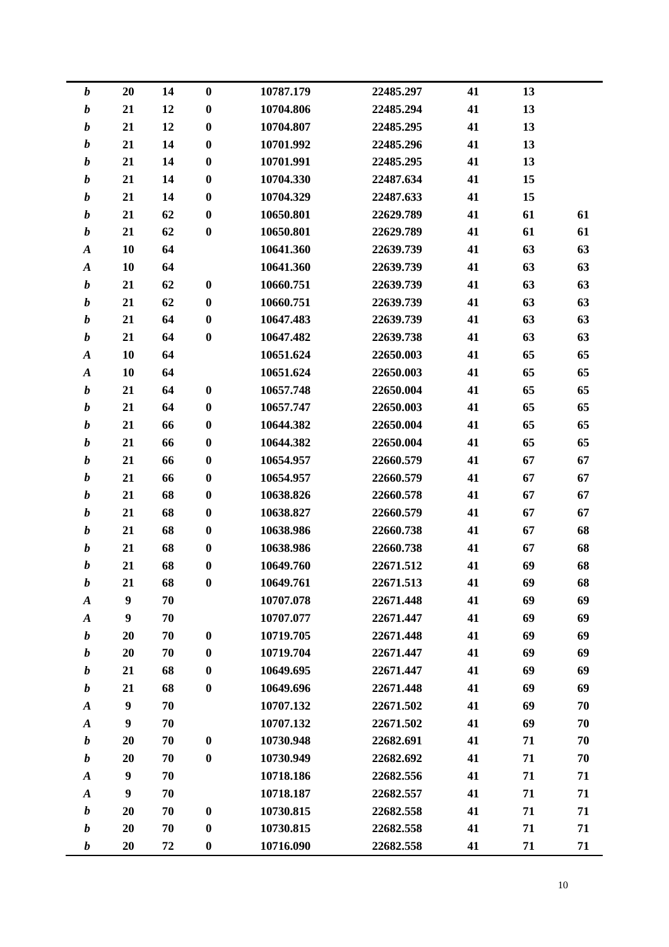| $\boldsymbol{b}$ | 20               | 14 | $\boldsymbol{0}$ | 10787.179 | 22485.297 | 41 | 13 |    |
|------------------|------------------|----|------------------|-----------|-----------|----|----|----|
| $\boldsymbol{b}$ | 21               | 12 | $\bf{0}$         | 10704.806 | 22485.294 | 41 | 13 |    |
| $\boldsymbol{b}$ | 21               | 12 | $\boldsymbol{0}$ | 10704.807 | 22485.295 | 41 | 13 |    |
| $\boldsymbol{b}$ | 21               | 14 | $\boldsymbol{0}$ | 10701.992 | 22485.296 | 41 | 13 |    |
| $\boldsymbol{b}$ | 21               | 14 | $\bf{0}$         | 10701.991 | 22485.295 | 41 | 13 |    |
| $\boldsymbol{b}$ | 21               | 14 | $\boldsymbol{0}$ | 10704.330 | 22487.634 | 41 | 15 |    |
| $\boldsymbol{b}$ | 21               | 14 | $\boldsymbol{0}$ | 10704.329 | 22487.633 | 41 | 15 |    |
| $\boldsymbol{b}$ | 21               | 62 | $\boldsymbol{0}$ | 10650.801 | 22629.789 | 41 | 61 | 61 |
| $\boldsymbol{b}$ | 21               | 62 | $\boldsymbol{0}$ | 10650.801 | 22629.789 | 41 | 61 | 61 |
| $\boldsymbol{A}$ | 10               | 64 |                  | 10641.360 | 22639.739 | 41 | 63 | 63 |
| $\boldsymbol{A}$ | 10               | 64 |                  | 10641.360 | 22639.739 | 41 | 63 | 63 |
| $\boldsymbol{b}$ | 21               | 62 | $\bf{0}$         | 10660.751 | 22639.739 | 41 | 63 | 63 |
| $\boldsymbol{b}$ | 21               | 62 | $\boldsymbol{0}$ | 10660.751 | 22639.739 | 41 | 63 | 63 |
| $\boldsymbol{b}$ | 21               | 64 | $\boldsymbol{0}$ | 10647.483 | 22639.739 | 41 | 63 | 63 |
| $\boldsymbol{b}$ | 21               | 64 | $\bf{0}$         | 10647.482 | 22639.738 | 41 | 63 | 63 |
| $\boldsymbol{A}$ | 10               | 64 |                  | 10651.624 | 22650.003 | 41 | 65 | 65 |
| $\boldsymbol{A}$ | 10               | 64 |                  | 10651.624 | 22650.003 | 41 | 65 | 65 |
| $\boldsymbol{b}$ | 21               | 64 | $\bf{0}$         | 10657.748 | 22650.004 | 41 | 65 | 65 |
| $\boldsymbol{b}$ | 21               | 64 | $\boldsymbol{0}$ | 10657.747 | 22650.003 | 41 | 65 | 65 |
| $\boldsymbol{b}$ | 21               | 66 | $\bf{0}$         | 10644.382 | 22650.004 | 41 | 65 | 65 |
| $\boldsymbol{b}$ | 21               | 66 | $\boldsymbol{0}$ | 10644.382 | 22650.004 | 41 | 65 | 65 |
| $\boldsymbol{b}$ | 21               | 66 | $\boldsymbol{0}$ | 10654.957 | 22660.579 | 41 | 67 | 67 |
| $\boldsymbol{b}$ | 21               | 66 | $\boldsymbol{0}$ | 10654.957 | 22660.579 | 41 | 67 | 67 |
| $\boldsymbol{b}$ | 21               | 68 | $\boldsymbol{0}$ | 10638.826 | 22660.578 | 41 | 67 | 67 |
| $\boldsymbol{b}$ | 21               | 68 | $\bf{0}$         | 10638.827 | 22660.579 | 41 | 67 | 67 |
| $\boldsymbol{b}$ | 21               | 68 | $\boldsymbol{0}$ | 10638.986 | 22660.738 | 41 | 67 | 68 |
| $\boldsymbol{b}$ | 21               | 68 | $\boldsymbol{0}$ | 10638.986 | 22660.738 | 41 | 67 | 68 |
| b                | 21               | 68 | $\boldsymbol{0}$ | 10649.760 | 22671.512 | 41 | 69 | 68 |
| b                | 21               | 68 | $\boldsymbol{0}$ | 10649.761 | 22671.513 | 41 | 69 | 68 |
| $\boldsymbol{A}$ | $\boldsymbol{9}$ | 70 |                  | 10707.078 | 22671.448 | 41 | 69 | 69 |
| $\boldsymbol{A}$ | $\boldsymbol{9}$ | 70 |                  | 10707.077 | 22671.447 | 41 | 69 | 69 |
| $\boldsymbol{b}$ | 20               | 70 | $\bf{0}$         | 10719.705 | 22671.448 | 41 | 69 | 69 |
| $\boldsymbol{b}$ | 20               | 70 | $\bf{0}$         | 10719.704 | 22671.447 | 41 | 69 | 69 |
| b                | 21               | 68 | $\boldsymbol{0}$ | 10649.695 | 22671.447 | 41 | 69 | 69 |
| $\boldsymbol{b}$ | 21               | 68 | $\bf{0}$         | 10649.696 | 22671.448 | 41 | 69 | 69 |
| $\boldsymbol{A}$ | 9                | 70 |                  | 10707.132 | 22671.502 | 41 | 69 | 70 |
| $\boldsymbol{A}$ | 9                | 70 |                  | 10707.132 | 22671.502 | 41 | 69 | 70 |
| $\boldsymbol{b}$ | 20               | 70 | $\bf{0}$         | 10730.948 | 22682.691 | 41 | 71 | 70 |
| $\boldsymbol{b}$ | 20               | 70 | $\bf{0}$         | 10730.949 | 22682.692 | 41 | 71 | 70 |
| $\boldsymbol{A}$ | $\boldsymbol{9}$ | 70 |                  | 10718.186 | 22682.556 | 41 | 71 | 71 |
| $\boldsymbol{A}$ | 9                | 70 |                  | 10718.187 | 22682.557 | 41 | 71 | 71 |
| $\boldsymbol{b}$ | 20               | 70 | $\bf{0}$         | 10730.815 | 22682.558 | 41 | 71 | 71 |
| $\boldsymbol{b}$ | 20               | 70 | $\boldsymbol{0}$ | 10730.815 | 22682.558 | 41 | 71 | 71 |
| $\boldsymbol{b}$ | 20               | 72 | $\boldsymbol{0}$ | 10716.090 | 22682.558 | 41 | 71 | 71 |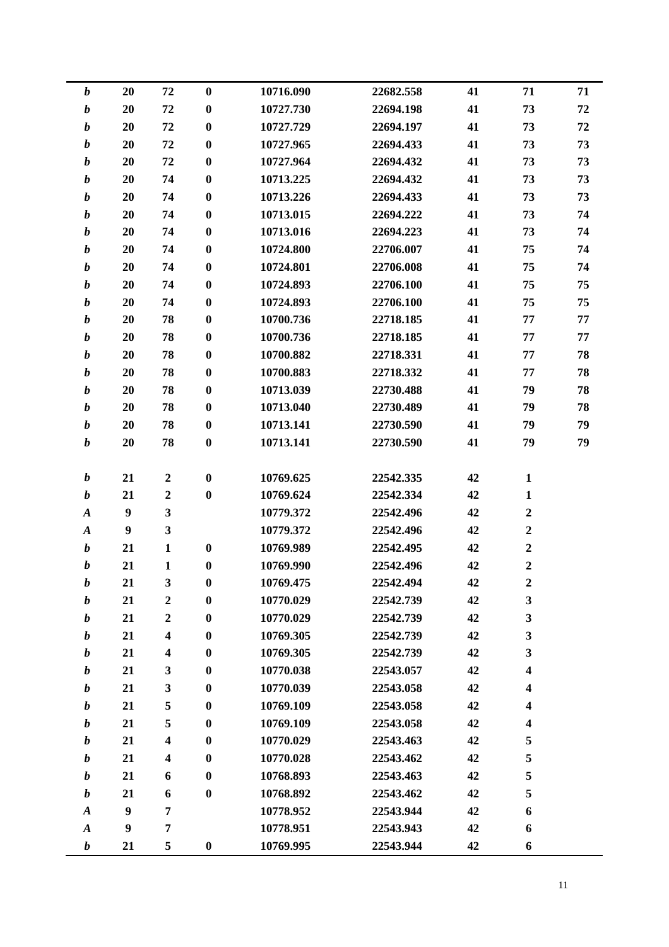| $\boldsymbol{b}$ | 20               | 72                      | $\boldsymbol{0}$ | 10716.090 | 22682.558 | 41 | 71                      | 71 |
|------------------|------------------|-------------------------|------------------|-----------|-----------|----|-------------------------|----|
| $\boldsymbol{b}$ | 20               | 72                      | $\boldsymbol{0}$ | 10727.730 | 22694.198 | 41 | 73                      | 72 |
| $\boldsymbol{b}$ | 20               | 72                      | $\bf{0}$         | 10727.729 | 22694.197 | 41 | 73                      | 72 |
| $\boldsymbol{b}$ | 20               | 72                      | $\bf{0}$         | 10727.965 | 22694.433 | 41 | 73                      | 73 |
| $\boldsymbol{b}$ | 20               | 72                      | $\bf{0}$         | 10727.964 | 22694.432 | 41 | 73                      | 73 |
| $\boldsymbol{b}$ | 20               | 74                      | $\bf{0}$         | 10713.225 | 22694.432 | 41 | 73                      | 73 |
| $\boldsymbol{b}$ | 20               | 74                      | $\bf{0}$         | 10713.226 | 22694.433 | 41 | 73                      | 73 |
| $\boldsymbol{b}$ | 20               | 74                      | $\bf{0}$         | 10713.015 | 22694.222 | 41 | 73                      | 74 |
| $\boldsymbol{b}$ | 20               | 74                      | $\boldsymbol{0}$ | 10713.016 | 22694.223 | 41 | 73                      | 74 |
| $\boldsymbol{b}$ | 20               | 74                      | $\bf{0}$         | 10724.800 | 22706.007 | 41 | 75                      | 74 |
| $\boldsymbol{b}$ | 20               | 74                      | $\bf{0}$         | 10724.801 | 22706.008 | 41 | 75                      | 74 |
| $\boldsymbol{b}$ | 20               | 74                      | $\boldsymbol{0}$ | 10724.893 | 22706.100 | 41 | 75                      | 75 |
| $\boldsymbol{b}$ | 20               | 74                      | $\bf{0}$         | 10724.893 | 22706.100 | 41 | 75                      | 75 |
| $\boldsymbol{b}$ | 20               | 78                      | $\bf{0}$         | 10700.736 | 22718.185 | 41 | 77                      | 77 |
| $\boldsymbol{b}$ | 20               | 78                      | $\bf{0}$         | 10700.736 | 22718.185 | 41 | 77                      | 77 |
| $\boldsymbol{b}$ | 20               | 78                      | $\bf{0}$         | 10700.882 | 22718.331 | 41 | 77                      | 78 |
| $\boldsymbol{b}$ | 20               | 78                      | $\bf{0}$         | 10700.883 | 22718.332 | 41 | 77                      | 78 |
| $\boldsymbol{b}$ | 20               | 78                      | $\bf{0}$         | 10713.039 | 22730.488 | 41 | 79                      | 78 |
| $\boldsymbol{b}$ | 20               | 78                      | $\bf{0}$         | 10713.040 | 22730.489 | 41 | 79                      | 78 |
| $\boldsymbol{b}$ | 20               | 78                      | $\bf{0}$         | 10713.141 | 22730.590 | 41 | 79                      | 79 |
| $\boldsymbol{b}$ | 20               | 78                      | $\bf{0}$         | 10713.141 | 22730.590 | 41 | 79                      | 79 |
|                  |                  |                         |                  |           |           |    |                         |    |
| $\boldsymbol{b}$ | 21               | $\boldsymbol{2}$        | $\boldsymbol{0}$ | 10769.625 | 22542.335 | 42 | $\mathbf{1}$            |    |
| $\boldsymbol{b}$ | 21               | $\overline{2}$          | $\boldsymbol{0}$ | 10769.624 | 22542.334 | 42 | $\mathbf{1}$            |    |
| $\boldsymbol{A}$ | $\boldsymbol{9}$ | $\overline{\mathbf{3}}$ |                  | 10779.372 | 22542.496 | 42 | $\boldsymbol{2}$        |    |
| $\boldsymbol{A}$ | $\boldsymbol{9}$ | $\mathbf{3}$            |                  | 10779.372 | 22542.496 | 42 | $\boldsymbol{2}$        |    |
| $\boldsymbol{b}$ | 21               | $\mathbf{1}$            | $\boldsymbol{0}$ | 10769.989 | 22542.495 | 42 | $\boldsymbol{2}$        |    |
| $\boldsymbol{b}$ | 21               | $\mathbf{1}$            | $\boldsymbol{0}$ | 10769.990 | 22542.496 | 42 | $\boldsymbol{2}$        |    |
| $\boldsymbol{b}$ | 21               | 3                       | $\bf{0}$         | 10769.475 | 22542.494 | 42 | $\boldsymbol{2}$        |    |
| $\boldsymbol{b}$ | 21               | $\boldsymbol{2}$        | $\bf{0}$         | 10770.029 | 22542.739 | 42 | $\mathbf{3}$            |    |
| $\boldsymbol{b}$ | 21               | $\boldsymbol{2}$        | $\boldsymbol{0}$ | 10770.029 | 22542.739 | 42 | $\mathbf{3}$            |    |
| $\boldsymbol{b}$ | 21               | $\overline{\mathbf{4}}$ | $\bf{0}$         | 10769.305 | 22542.739 | 42 | 3                       |    |
| $\boldsymbol{b}$ | 21               | $\overline{\mathbf{4}}$ | $\bf{0}$         | 10769.305 | 22542.739 | 42 | 3                       |    |
| $\boldsymbol{b}$ | 21               | $\mathbf{3}$            | $\bf{0}$         | 10770.038 | 22543.057 | 42 | $\overline{\mathbf{4}}$ |    |
| $\boldsymbol{b}$ | 21               | 3                       | $\boldsymbol{0}$ | 10770.039 | 22543.058 | 42 | 4                       |    |
| $\boldsymbol{b}$ | 21               | 5                       | $\bf{0}$         | 10769.109 | 22543.058 | 42 | 4                       |    |
| $\boldsymbol{b}$ | 21               | 5                       | $\bf{0}$         | 10769.109 | 22543.058 | 42 | $\overline{\mathbf{4}}$ |    |
| $\boldsymbol{b}$ | 21               | $\overline{\mathbf{4}}$ | $\boldsymbol{0}$ | 10770.029 | 22543.463 | 42 | 5                       |    |
| $\boldsymbol{b}$ | 21               | $\overline{\mathbf{4}}$ | $\boldsymbol{0}$ | 10770.028 | 22543.462 | 42 | 5                       |    |
| $\boldsymbol{b}$ | 21               | 6                       | $\bf{0}$         | 10768.893 | 22543.463 | 42 | 5                       |    |
| $\boldsymbol{b}$ | 21               | 6                       | $\bf{0}$         | 10768.892 | 22543.462 | 42 | 5                       |    |
| $\boldsymbol{A}$ | $\boldsymbol{9}$ | 7                       |                  | 10778.952 | 22543.944 | 42 | 6                       |    |
| $\boldsymbol{A}$ | $\boldsymbol{9}$ | 7                       |                  | 10778.951 | 22543.943 | 42 | 6                       |    |
| $\boldsymbol{b}$ | 21               | 5                       | $\bf{0}$         | 10769.995 | 22543.944 | 42 | 6                       |    |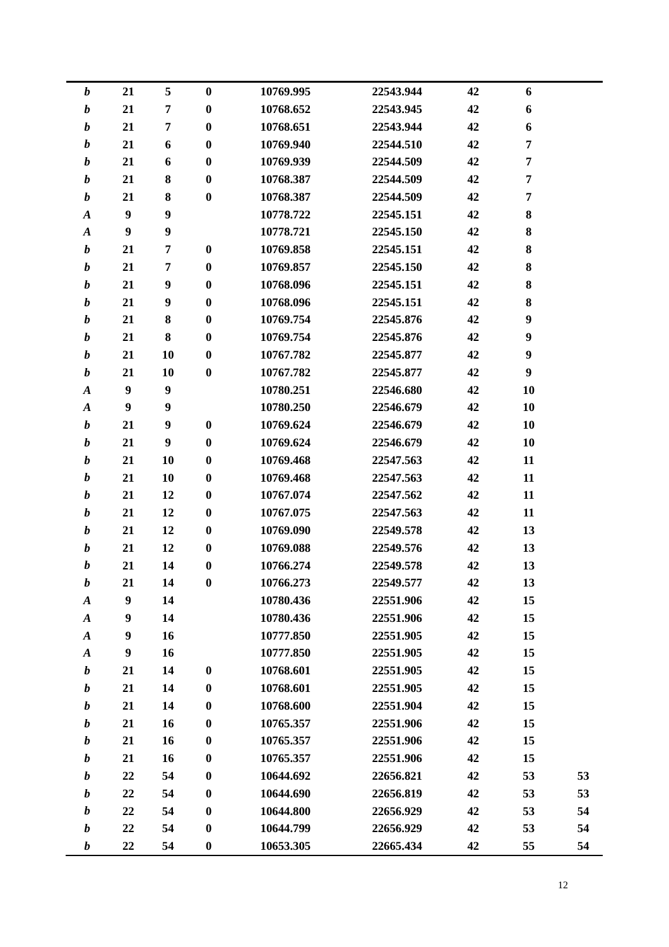| $\boldsymbol{b}$ | 21               | 5                | $\bf{0}$         | 10769.995 | 22543.944 | 42 | 6                |    |
|------------------|------------------|------------------|------------------|-----------|-----------|----|------------------|----|
| $\boldsymbol{b}$ | 21               | 7                | $\boldsymbol{0}$ | 10768.652 | 22543.945 | 42 | 6                |    |
| $\boldsymbol{b}$ | 21               | 7                | $\boldsymbol{0}$ | 10768.651 | 22543.944 | 42 | 6                |    |
| $\boldsymbol{b}$ | 21               | 6                | $\boldsymbol{0}$ | 10769.940 | 22544.510 | 42 | 7                |    |
| $\boldsymbol{b}$ | 21               | 6                | $\bf{0}$         | 10769.939 | 22544.509 | 42 | 7                |    |
| $\boldsymbol{b}$ | 21               | $\bf{8}$         | $\boldsymbol{0}$ | 10768.387 | 22544.509 | 42 | 7                |    |
| $\boldsymbol{b}$ | 21               | 8                | $\bf{0}$         | 10768.387 | 22544.509 | 42 | 7                |    |
| $\boldsymbol{A}$ | $\boldsymbol{9}$ | 9                |                  | 10778.722 | 22545.151 | 42 | ${\bf 8}$        |    |
| $\boldsymbol{A}$ | $\boldsymbol{9}$ | $\boldsymbol{9}$ |                  | 10778.721 | 22545.150 | 42 | 8                |    |
| $\boldsymbol{b}$ | 21               | 7                | $\bf{0}$         | 10769.858 | 22545.151 | 42 | $\bf 8$          |    |
| $\boldsymbol{b}$ | 21               | 7                | $\bf{0}$         | 10769.857 | 22545.150 | 42 | ${\bf 8}$        |    |
| $\boldsymbol{b}$ | 21               | $\boldsymbol{9}$ | $\bf{0}$         | 10768.096 | 22545.151 | 42 | ${\bf 8}$        |    |
| $\boldsymbol{b}$ | 21               | 9                | $\boldsymbol{0}$ | 10768.096 | 22545.151 | 42 | ${\bf 8}$        |    |
| $\boldsymbol{b}$ | 21               | 8                | $\boldsymbol{0}$ | 10769.754 | 22545.876 | 42 | $\boldsymbol{9}$ |    |
| $\boldsymbol{b}$ | 21               | $\bf 8$          | $\bf{0}$         | 10769.754 | 22545.876 | 42 | $\boldsymbol{9}$ |    |
| $\boldsymbol{b}$ | 21               | 10               | $\boldsymbol{0}$ | 10767.782 | 22545.877 | 42 | $\boldsymbol{9}$ |    |
| $\boldsymbol{b}$ | 21               | 10               | $\bf{0}$         | 10767.782 | 22545.877 | 42 | $\boldsymbol{9}$ |    |
| $\boldsymbol{A}$ | $\boldsymbol{9}$ | $\boldsymbol{9}$ |                  | 10780.251 | 22546.680 | 42 | 10               |    |
| $\boldsymbol{A}$ | $\boldsymbol{9}$ | 9                |                  | 10780.250 | 22546.679 | 42 | 10               |    |
| $\boldsymbol{b}$ | 21               | $\boldsymbol{9}$ | $\bf{0}$         | 10769.624 | 22546.679 | 42 | 10               |    |
| $\boldsymbol{b}$ | 21               | $\boldsymbol{9}$ | $\bf{0}$         | 10769.624 | 22546.679 | 42 | 10               |    |
| $\boldsymbol{b}$ | 21               | 10               | $\boldsymbol{0}$ | 10769.468 | 22547.563 | 42 | 11               |    |
| $\boldsymbol{b}$ | 21               | 10               | $\boldsymbol{0}$ | 10769.468 | 22547.563 | 42 | 11               |    |
| $\boldsymbol{b}$ | 21               | 12               | $\boldsymbol{0}$ | 10767.074 | 22547.562 | 42 | 11               |    |
| $\boldsymbol{b}$ | 21               | 12               | $\bf{0}$         | 10767.075 | 22547.563 | 42 | 11               |    |
| $\boldsymbol{b}$ | 21               | 12               | $\boldsymbol{0}$ | 10769.090 | 22549.578 | 42 | 13               |    |
| $\boldsymbol{b}$ | 21               | 12               | $\boldsymbol{0}$ | 10769.088 | 22549.576 | 42 | 13               |    |
| $\boldsymbol{b}$ | 21               | 14               | $\boldsymbol{0}$ | 10766.274 | 22549.578 | 42 | 13               |    |
| $\boldsymbol{b}$ | 21               | 14               | $\boldsymbol{0}$ | 10766.273 | 22549.577 | 42 | 13               |    |
| $\boldsymbol{A}$ | $\boldsymbol{9}$ | 14               |                  | 10780.436 | 22551.906 | 42 | 15               |    |
| $\boldsymbol{A}$ | $\boldsymbol{9}$ | 14               |                  | 10780.436 | 22551.906 | 42 | 15               |    |
| $\boldsymbol{A}$ | $\boldsymbol{9}$ | 16               |                  | 10777.850 | 22551.905 | 42 | 15               |    |
| $\boldsymbol{A}$ | $\boldsymbol{9}$ | 16               |                  | 10777.850 | 22551.905 | 42 | 15               |    |
| $\boldsymbol{b}$ | 21               | 14               | $\boldsymbol{0}$ | 10768.601 | 22551.905 | 42 | 15               |    |
| $\boldsymbol{b}$ | 21               | 14               | $\bf{0}$         | 10768.601 | 22551.905 | 42 | 15               |    |
| $\boldsymbol{b}$ | 21               | 14               | $\boldsymbol{0}$ | 10768.600 | 22551.904 | 42 | 15               |    |
| $\boldsymbol{b}$ | 21               | 16               | $\boldsymbol{0}$ | 10765.357 | 22551.906 | 42 | 15               |    |
| $\boldsymbol{b}$ | 21               | 16               | $\boldsymbol{0}$ | 10765.357 | 22551.906 | 42 | 15               |    |
| $\boldsymbol{b}$ | 21               | 16               | $\bf{0}$         | 10765.357 | 22551.906 | 42 | 15               |    |
| $\boldsymbol{b}$ | 22               | 54               | $\boldsymbol{0}$ | 10644.692 | 22656.821 | 42 | 53               | 53 |
| $\boldsymbol{b}$ | 22               | 54               | $\boldsymbol{0}$ | 10644.690 | 22656.819 | 42 | 53               | 53 |
| $\boldsymbol{b}$ | 22               | 54               | $\bf{0}$         | 10644.800 | 22656.929 | 42 | 53               | 54 |
| $\boldsymbol{b}$ | 22               | 54               | $\boldsymbol{0}$ | 10644.799 | 22656.929 | 42 | 53               | 54 |
| $\boldsymbol{b}$ | 22               | 54               | $\boldsymbol{0}$ | 10653.305 | 22665.434 | 42 | 55               | 54 |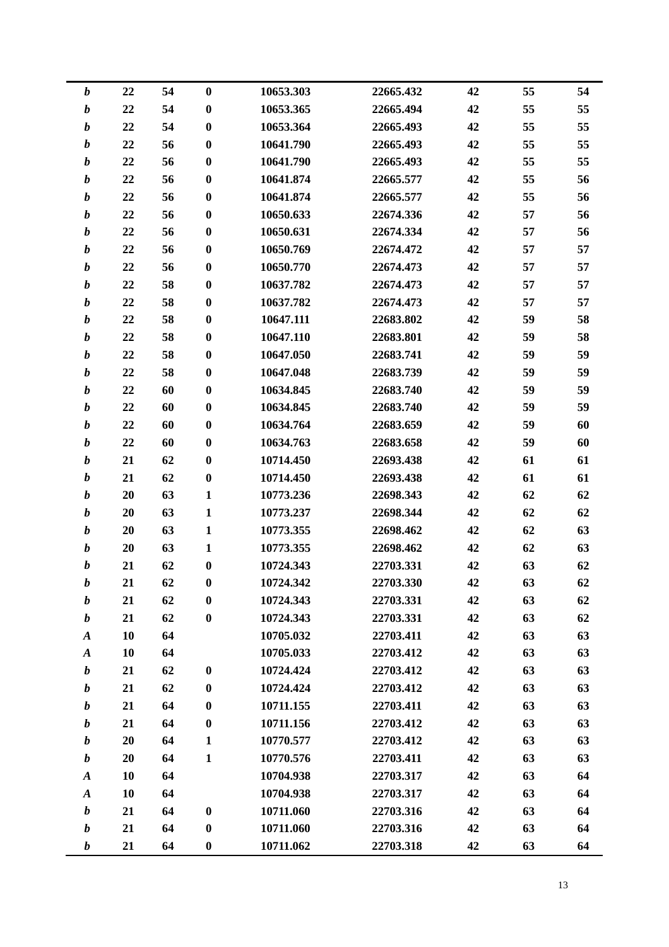| $\boldsymbol{b}$ | 22 | 54 | $\boldsymbol{0}$ | 10653.303 | 22665.432 | 42 | 55 | 54 |
|------------------|----|----|------------------|-----------|-----------|----|----|----|
| $\boldsymbol{b}$ | 22 | 54 | $\boldsymbol{0}$ | 10653.365 | 22665.494 | 42 | 55 | 55 |
| $\boldsymbol{b}$ | 22 | 54 | $\boldsymbol{0}$ | 10653.364 | 22665.493 | 42 | 55 | 55 |
| $\boldsymbol{b}$ | 22 | 56 | $\boldsymbol{0}$ | 10641.790 | 22665.493 | 42 | 55 | 55 |
| $\boldsymbol{b}$ | 22 | 56 | $\bf{0}$         | 10641.790 | 22665.493 | 42 | 55 | 55 |
| b                | 22 | 56 | $\boldsymbol{0}$ | 10641.874 | 22665.577 | 42 | 55 | 56 |
| $\boldsymbol{b}$ | 22 | 56 | $\boldsymbol{0}$ | 10641.874 | 22665.577 | 42 | 55 | 56 |
| $\boldsymbol{b}$ | 22 | 56 | $\boldsymbol{0}$ | 10650.633 | 22674.336 | 42 | 57 | 56 |
| b                | 22 | 56 | $\boldsymbol{0}$ | 10650.631 | 22674.334 | 42 | 57 | 56 |
| $\boldsymbol{b}$ | 22 | 56 | $\bf{0}$         | 10650.769 | 22674.472 | 42 | 57 | 57 |
| b                | 22 | 56 | $\boldsymbol{0}$ | 10650.770 | 22674.473 | 42 | 57 | 57 |
| $\boldsymbol{b}$ | 22 | 58 | $\boldsymbol{0}$ | 10637.782 | 22674.473 | 42 | 57 | 57 |
| $\boldsymbol{b}$ | 22 | 58 | $\boldsymbol{0}$ | 10637.782 | 22674.473 | 42 | 57 | 57 |
| $\boldsymbol{b}$ | 22 | 58 | $\boldsymbol{0}$ | 10647.111 | 22683.802 | 42 | 59 | 58 |
| $\boldsymbol{b}$ | 22 | 58 | $\bf{0}$         | 10647.110 | 22683.801 | 42 | 59 | 58 |
| b                | 22 | 58 | $\boldsymbol{0}$ | 10647.050 | 22683.741 | 42 | 59 | 59 |
| $\boldsymbol{b}$ | 22 | 58 | $\boldsymbol{0}$ | 10647.048 | 22683.739 | 42 | 59 | 59 |
| b                | 22 | 60 | $\boldsymbol{0}$ | 10634.845 | 22683.740 | 42 | 59 | 59 |
| b                | 22 | 60 | $\boldsymbol{0}$ | 10634.845 | 22683.740 | 42 | 59 | 59 |
| $\boldsymbol{b}$ | 22 | 60 | $\bf{0}$         | 10634.764 | 22683.659 | 42 | 59 | 60 |
| b                | 22 | 60 | $\boldsymbol{0}$ | 10634.763 | 22683.658 | 42 | 59 | 60 |
| $\boldsymbol{b}$ | 21 | 62 | $\boldsymbol{0}$ | 10714.450 | 22693.438 | 42 | 61 | 61 |
| b                | 21 | 62 | $\boldsymbol{0}$ | 10714.450 | 22693.438 | 42 | 61 | 61 |
| $\boldsymbol{b}$ | 20 | 63 | $\mathbf{1}$     | 10773.236 | 22698.343 | 42 | 62 | 62 |
| $\boldsymbol{b}$ | 20 | 63 | $\mathbf{1}$     | 10773.237 | 22698.344 | 42 | 62 | 62 |
| b                | 20 | 63 | $\mathbf{1}$     | 10773.355 | 22698.462 | 42 | 62 | 63 |
| $\boldsymbol{b}$ | 20 | 63 | $\mathbf{1}$     | 10773.355 | 22698.462 | 42 | 62 | 63 |
| b                | 21 | 62 | 0                | 10724.343 | 22703.331 | 42 | 63 | 62 |
| b                | 21 | 62 | $\boldsymbol{0}$ | 10724.342 | 22703.330 | 42 | 63 | 62 |
| $\boldsymbol{b}$ | 21 | 62 | $\bf{0}$         | 10724.343 | 22703.331 | 42 | 63 | 62 |
| $\boldsymbol{b}$ | 21 | 62 | $\boldsymbol{0}$ | 10724.343 | 22703.331 | 42 | 63 | 62 |
| $\boldsymbol{A}$ | 10 | 64 |                  | 10705.032 | 22703.411 | 42 | 63 | 63 |
| $\boldsymbol{A}$ | 10 | 64 |                  | 10705.033 | 22703.412 | 42 | 63 | 63 |
| $\boldsymbol{b}$ | 21 | 62 | $\boldsymbol{0}$ | 10724.424 | 22703.412 | 42 | 63 | 63 |
| $\boldsymbol{b}$ | 21 | 62 | $\bf{0}$         | 10724.424 | 22703.412 | 42 | 63 | 63 |
| b                | 21 | 64 | $\bf{0}$         | 10711.155 | 22703.411 | 42 | 63 | 63 |
| $\boldsymbol{b}$ | 21 | 64 | $\bf{0}$         | 10711.156 | 22703.412 | 42 | 63 | 63 |
| $\boldsymbol{b}$ | 20 | 64 | $\mathbf{1}$     | 10770.577 | 22703.412 | 42 | 63 | 63 |
| $\boldsymbol{b}$ | 20 | 64 | $\mathbf{1}$     | 10770.576 | 22703.411 | 42 | 63 | 63 |
| $\boldsymbol{A}$ | 10 | 64 |                  | 10704.938 | 22703.317 | 42 | 63 | 64 |
| $\boldsymbol{A}$ | 10 | 64 |                  | 10704.938 | 22703.317 | 42 | 63 | 64 |
| $\boldsymbol{b}$ | 21 | 64 | $\bf{0}$         | 10711.060 | 22703.316 | 42 | 63 | 64 |
| b                | 21 | 64 | $\boldsymbol{0}$ | 10711.060 | 22703.316 | 42 | 63 | 64 |
| $\boldsymbol{b}$ | 21 | 64 | $\bf{0}$         | 10711.062 | 22703.318 | 42 | 63 | 64 |
|                  |    |    |                  |           |           |    |    |    |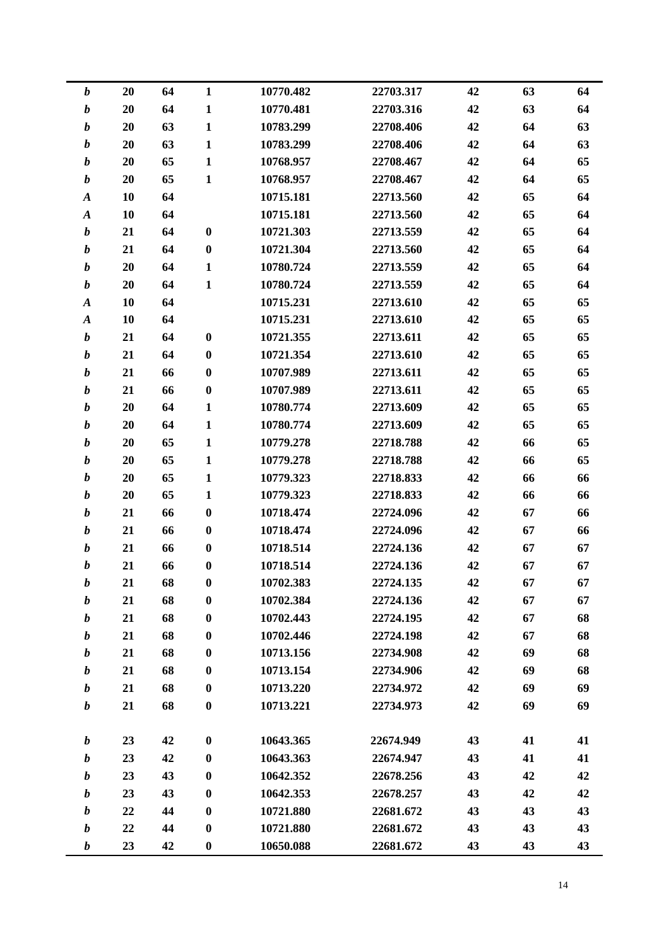| $\boldsymbol{b}$ | 20 | 64 | $\mathbf{1}$     | 10770.482 | 22703.317 | 42 | 63 | 64 |
|------------------|----|----|------------------|-----------|-----------|----|----|----|
| $\boldsymbol{b}$ | 20 | 64 | $\mathbf{1}$     | 10770.481 | 22703.316 | 42 | 63 | 64 |
| $\boldsymbol{b}$ | 20 | 63 | $\mathbf{1}$     | 10783.299 | 22708.406 | 42 | 64 | 63 |
| $\boldsymbol{b}$ | 20 | 63 | $\mathbf{1}$     | 10783.299 | 22708.406 | 42 | 64 | 63 |
| $\boldsymbol{b}$ | 20 | 65 | $\mathbf{1}$     | 10768.957 | 22708.467 | 42 | 64 | 65 |
| $\boldsymbol{b}$ | 20 | 65 | $\mathbf{1}$     | 10768.957 | 22708.467 | 42 | 64 | 65 |
| $\boldsymbol{A}$ | 10 | 64 |                  | 10715.181 | 22713.560 | 42 | 65 | 64 |
| $\boldsymbol{A}$ | 10 | 64 |                  | 10715.181 | 22713.560 | 42 | 65 | 64 |
| $\boldsymbol{b}$ | 21 | 64 | $\boldsymbol{0}$ | 10721.303 | 22713.559 | 42 | 65 | 64 |
| $\boldsymbol{b}$ | 21 | 64 | $\bf{0}$         | 10721.304 | 22713.560 | 42 | 65 | 64 |
| $\boldsymbol{b}$ | 20 | 64 | $\mathbf{1}$     | 10780.724 | 22713.559 | 42 | 65 | 64 |
| $\boldsymbol{b}$ | 20 | 64 | $\mathbf{1}$     | 10780.724 | 22713.559 | 42 | 65 | 64 |
| $\boldsymbol{A}$ | 10 | 64 |                  | 10715.231 | 22713.610 | 42 | 65 | 65 |
| $\boldsymbol{A}$ | 10 | 64 |                  | 10715.231 | 22713.610 | 42 | 65 | 65 |
| $\boldsymbol{b}$ | 21 | 64 | $\bf{0}$         | 10721.355 | 22713.611 | 42 | 65 | 65 |
| $\boldsymbol{b}$ | 21 | 64 | $\boldsymbol{0}$ | 10721.354 | 22713.610 | 42 | 65 | 65 |
| $\boldsymbol{b}$ | 21 | 66 | $\boldsymbol{0}$ | 10707.989 | 22713.611 | 42 | 65 | 65 |
| $\boldsymbol{b}$ | 21 | 66 | $\boldsymbol{0}$ | 10707.989 | 22713.611 | 42 | 65 | 65 |
| $\boldsymbol{b}$ | 20 | 64 | 1                | 10780.774 | 22713.609 | 42 | 65 | 65 |
| $\boldsymbol{b}$ | 20 | 64 | $\mathbf{1}$     | 10780.774 | 22713.609 | 42 | 65 | 65 |
| $\boldsymbol{b}$ | 20 | 65 | $\mathbf{1}$     | 10779.278 | 22718.788 | 42 | 66 | 65 |
| $\boldsymbol{b}$ | 20 | 65 | $\mathbf{1}$     | 10779.278 | 22718.788 | 42 | 66 | 65 |
| $\boldsymbol{b}$ | 20 | 65 | 1                | 10779.323 | 22718.833 | 42 | 66 | 66 |
| $\boldsymbol{b}$ | 20 | 65 | $\mathbf{1}$     | 10779.323 | 22718.833 | 42 | 66 | 66 |
| $\boldsymbol{b}$ | 21 | 66 | $\bf{0}$         | 10718.474 | 22724.096 | 42 | 67 | 66 |
| $\boldsymbol{b}$ | 21 | 66 | $\bf{0}$         | 10718.474 | 22724.096 | 42 | 67 | 66 |
| $\boldsymbol{b}$ | 21 | 66 | $\boldsymbol{0}$ | 10718.514 | 22724.136 | 42 | 67 | 67 |
| $\boldsymbol{b}$ | 21 | 66 | 0                | 10718.514 | 22724.136 | 42 | 67 | 67 |
| $\boldsymbol{b}$ | 21 | 68 | $\boldsymbol{0}$ | 10702.383 | 22724.135 | 42 | 67 | 67 |
| $\boldsymbol{b}$ | 21 | 68 | $\bf{0}$         | 10702.384 | 22724.136 | 42 | 67 | 67 |
| $\boldsymbol{b}$ | 21 | 68 | $\bf{0}$         | 10702.443 | 22724.195 | 42 | 67 | 68 |
| $\boldsymbol{b}$ | 21 | 68 | $\boldsymbol{0}$ | 10702.446 | 22724.198 | 42 | 67 | 68 |
| $\boldsymbol{b}$ | 21 | 68 | $\bf{0}$         | 10713.156 | 22734.908 | 42 | 69 | 68 |
| $\boldsymbol{b}$ | 21 | 68 | $\boldsymbol{0}$ | 10713.154 | 22734.906 | 42 | 69 | 68 |
| $\boldsymbol{b}$ | 21 | 68 | $\bf{0}$         | 10713.220 | 22734.972 | 42 | 69 | 69 |
| $\boldsymbol{b}$ | 21 | 68 | $\bf{0}$         | 10713.221 | 22734.973 | 42 | 69 | 69 |
|                  |    |    |                  |           |           |    |    |    |
| $\boldsymbol{b}$ | 23 | 42 | $\boldsymbol{0}$ | 10643.365 | 22674.949 | 43 | 41 | 41 |
| $\boldsymbol{b}$ | 23 | 42 | $\bf{0}$         | 10643.363 | 22674.947 | 43 | 41 | 41 |
| $\boldsymbol{b}$ | 23 | 43 | $\bf{0}$         | 10642.352 | 22678.256 | 43 | 42 | 42 |
| $\boldsymbol{b}$ | 23 | 43 | $\boldsymbol{0}$ | 10642.353 | 22678.257 | 43 | 42 | 42 |
| $\boldsymbol{b}$ | 22 | 44 | $\bf{0}$         | 10721.880 | 22681.672 | 43 | 43 | 43 |
| $\boldsymbol{b}$ | 22 | 44 | $\boldsymbol{0}$ | 10721.880 | 22681.672 | 43 | 43 | 43 |
| $\boldsymbol{b}$ | 23 | 42 | $\boldsymbol{0}$ | 10650.088 | 22681.672 | 43 | 43 | 43 |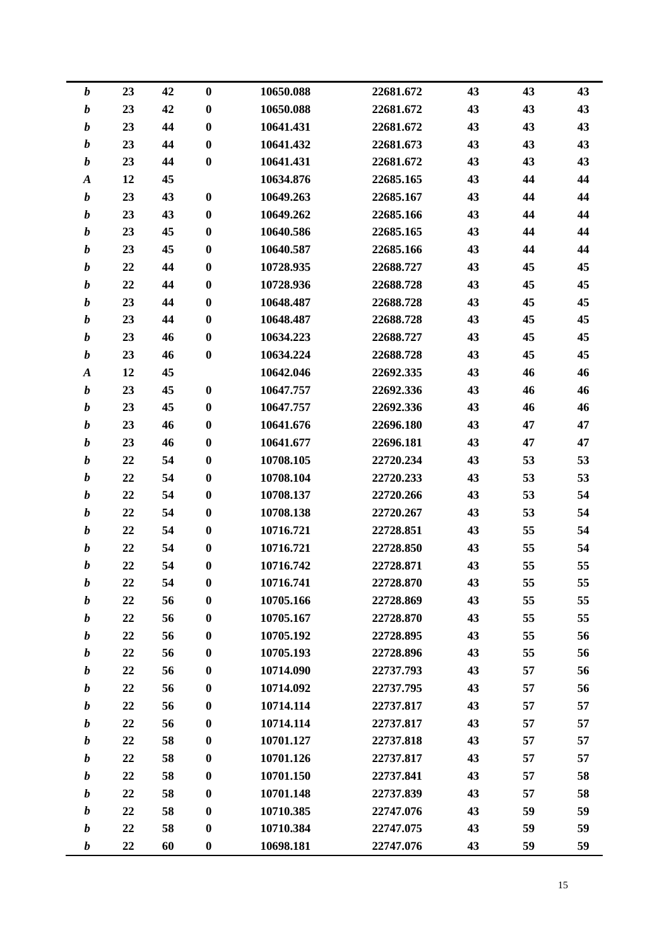|                  | 23<br>$\boldsymbol{b}$ | 42 | $\boldsymbol{0}$ | 10650.088 | 22681.672 | 43 | 43 | 43 |
|------------------|------------------------|----|------------------|-----------|-----------|----|----|----|
|                  | $\boldsymbol{b}$<br>23 | 42 | $\boldsymbol{0}$ | 10650.088 | 22681.672 | 43 | 43 | 43 |
|                  | $\boldsymbol{b}$<br>23 | 44 | $\boldsymbol{0}$ | 10641.431 | 22681.672 | 43 | 43 | 43 |
|                  | $\boldsymbol{b}$<br>23 | 44 | $\boldsymbol{0}$ | 10641.432 | 22681.673 | 43 | 43 | 43 |
|                  | $\boldsymbol{b}$<br>23 | 44 | $\bf{0}$         | 10641.431 | 22681.672 | 43 | 43 | 43 |
|                  | 12<br>$\boldsymbol{A}$ | 45 |                  | 10634.876 | 22685.165 | 43 | 44 | 44 |
|                  | $\boldsymbol{b}$<br>23 | 43 | $\bf{0}$         | 10649.263 | 22685.167 | 43 | 44 | 44 |
|                  | 23<br>$\boldsymbol{b}$ | 43 | $\bf{0}$         | 10649.262 | 22685.166 | 43 | 44 | 44 |
|                  | $\boldsymbol{b}$<br>23 | 45 | $\boldsymbol{0}$ | 10640.586 | 22685.165 | 43 | 44 | 44 |
|                  | $\boldsymbol{b}$<br>23 | 45 | $\bf{0}$         | 10640.587 | 22685.166 | 43 | 44 | 44 |
|                  | $\boldsymbol{b}$<br>22 | 44 | $\boldsymbol{0}$ | 10728.935 | 22688.727 | 43 | 45 | 45 |
|                  | $\boldsymbol{b}$<br>22 | 44 | $\boldsymbol{0}$ | 10728.936 | 22688.728 | 43 | 45 | 45 |
|                  | 23<br>$\boldsymbol{b}$ | 44 | $\boldsymbol{0}$ | 10648.487 | 22688.728 | 43 | 45 | 45 |
|                  | $\boldsymbol{b}$<br>23 | 44 | $\boldsymbol{0}$ | 10648.487 | 22688.728 | 43 | 45 | 45 |
|                  | 23<br>$\boldsymbol{b}$ | 46 | $\bf{0}$         | 10634.223 | 22688.727 | 43 | 45 | 45 |
|                  | 23<br>b                | 46 | $\boldsymbol{0}$ | 10634.224 | 22688.728 | 43 | 45 | 45 |
| $\boldsymbol{A}$ | 12                     | 45 |                  | 10642.046 | 22692.335 | 43 | 46 | 46 |
|                  | $\boldsymbol{b}$<br>23 | 45 | $\bf{0}$         | 10647.757 | 22692.336 | 43 | 46 | 46 |
|                  | $\boldsymbol{b}$<br>23 | 45 | $\bf{0}$         | 10647.757 | 22692.336 | 43 | 46 | 46 |
|                  | 23<br>$\boldsymbol{b}$ | 46 | $\bf{0}$         | 10641.676 | 22696.180 | 43 | 47 | 47 |
|                  | $\boldsymbol{b}$<br>23 | 46 | $\boldsymbol{0}$ | 10641.677 | 22696.181 | 43 | 47 | 47 |
|                  | $\boldsymbol{b}$<br>22 | 54 | $\boldsymbol{0}$ | 10708.105 | 22720.234 | 43 | 53 | 53 |
|                  | $\boldsymbol{b}$<br>22 | 54 | $\boldsymbol{0}$ | 10708.104 | 22720.233 | 43 | 53 | 53 |
|                  | $\boldsymbol{b}$<br>22 | 54 | $\boldsymbol{0}$ | 10708.137 | 22720.266 | 43 | 53 | 54 |
|                  | 22<br>$\boldsymbol{b}$ | 54 | $\bf{0}$         | 10708.138 | 22720.267 | 43 | 53 | 54 |
|                  | 22<br>b                | 54 | $\boldsymbol{0}$ | 10716.721 | 22728.851 | 43 | 55 | 54 |
|                  | 22<br>$\boldsymbol{b}$ | 54 | $\boldsymbol{0}$ | 10716.721 | 22728.850 | 43 | 55 | 54 |
|                  | 22<br>b                | 54 | 0                | 10716.742 | 22728.871 | 43 | 55 | 55 |
|                  | 22<br>b                | 54 | $\boldsymbol{0}$ | 10716.741 | 22728.870 | 43 | 55 | 55 |
|                  | 22<br>$\boldsymbol{b}$ | 56 | $\bf{0}$         | 10705.166 | 22728.869 | 43 | 55 | 55 |
|                  | 22<br>b                | 56 | $\boldsymbol{0}$ | 10705.167 | 22728.870 | 43 | 55 | 55 |
|                  | $\boldsymbol{b}$<br>22 | 56 | $\boldsymbol{0}$ | 10705.192 | 22728.895 | 43 | 55 | 56 |
|                  | 22<br>b                | 56 | $\bf{0}$         | 10705.193 | 22728.896 | 43 | 55 | 56 |
|                  | 22<br>b                | 56 | $\boldsymbol{0}$ | 10714.090 | 22737.793 | 43 | 57 | 56 |
|                  | 22<br>$\boldsymbol{b}$ | 56 | $\bf{0}$         | 10714.092 | 22737.795 | 43 | 57 | 56 |
|                  | b<br>22                | 56 | $\bf{0}$         | 10714.114 | 22737.817 | 43 | 57 | 57 |
|                  | $\boldsymbol{b}$<br>22 | 56 | $\boldsymbol{0}$ | 10714.114 | 22737.817 | 43 | 57 | 57 |
|                  | 22<br>b                | 58 | $\bf{0}$         | 10701.127 | 22737.818 | 43 | 57 | 57 |
|                  | $\boldsymbol{b}$<br>22 | 58 | $\boldsymbol{0}$ | 10701.126 | 22737.817 | 43 | 57 | 57 |
|                  | 22<br>$\boldsymbol{b}$ | 58 | $\bf{0}$         | 10701.150 | 22737.841 | 43 | 57 | 58 |
|                  | b<br>22                | 58 | $\boldsymbol{0}$ | 10701.148 | 22737.839 | 43 | 57 | 58 |
|                  | $\boldsymbol{b}$<br>22 | 58 | $\boldsymbol{0}$ | 10710.385 | 22747.076 | 43 | 59 | 59 |
|                  | 22<br>b                | 58 | $\boldsymbol{0}$ | 10710.384 | 22747.075 | 43 | 59 | 59 |
|                  | 22<br>b                | 60 | $\boldsymbol{0}$ | 10698.181 | 22747.076 | 43 | 59 | 59 |
|                  |                        |    |                  |           |           |    |    |    |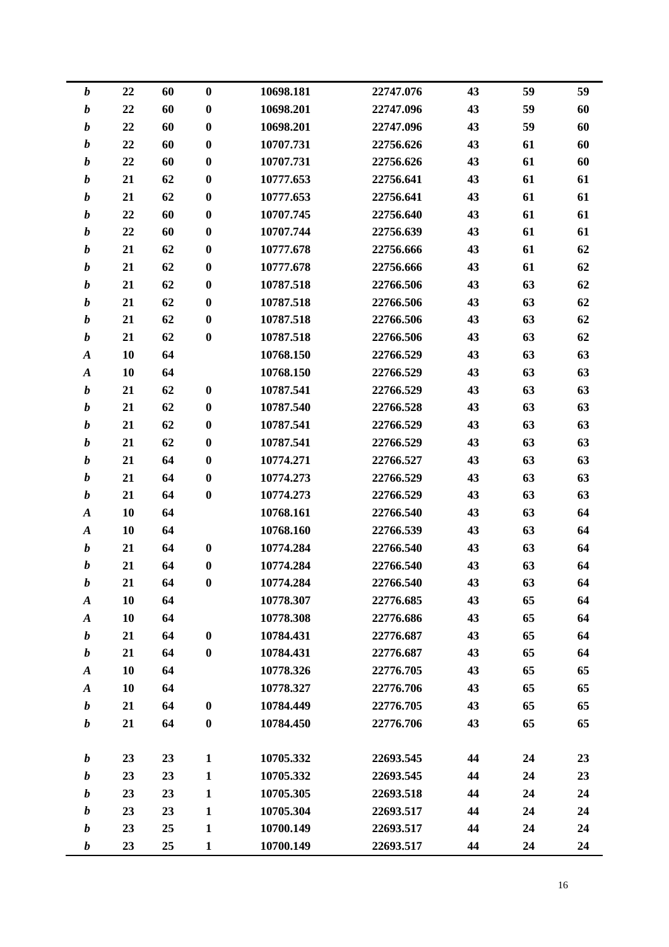| $\boldsymbol{b}$ | 22 | 60 | $\bf{0}$         | 10698.181 | 22747.076 | 43 | 59 | 59 |
|------------------|----|----|------------------|-----------|-----------|----|----|----|
| $\boldsymbol{b}$ | 22 | 60 | $\bf{0}$         | 10698.201 | 22747.096 | 43 | 59 | 60 |
| $\boldsymbol{b}$ | 22 | 60 | $\bf{0}$         | 10698.201 | 22747.096 | 43 | 59 | 60 |
| $\boldsymbol{b}$ | 22 | 60 | $\bf{0}$         | 10707.731 | 22756.626 | 43 | 61 | 60 |
| $\boldsymbol{b}$ | 22 | 60 | $\bf{0}$         | 10707.731 | 22756.626 | 43 | 61 | 60 |
| $\boldsymbol{b}$ | 21 | 62 | $\bf{0}$         | 10777.653 | 22756.641 | 43 | 61 | 61 |
| $\boldsymbol{b}$ | 21 | 62 | $\boldsymbol{0}$ | 10777.653 | 22756.641 | 43 | 61 | 61 |
| $\boldsymbol{b}$ | 22 | 60 | $\bf{0}$         | 10707.745 | 22756.640 | 43 | 61 | 61 |
| $\boldsymbol{b}$ | 22 | 60 | $\bf{0}$         | 10707.744 | 22756.639 | 43 | 61 | 61 |
| $\boldsymbol{b}$ | 21 | 62 | $\bf{0}$         | 10777.678 | 22756.666 | 43 | 61 | 62 |
| $\boldsymbol{b}$ | 21 | 62 | $\bf{0}$         | 10777.678 | 22756.666 | 43 | 61 | 62 |
| $\boldsymbol{b}$ | 21 | 62 | $\bf{0}$         | 10787.518 | 22766.506 | 43 | 63 | 62 |
| $\boldsymbol{b}$ | 21 | 62 | $\bf{0}$         | 10787.518 | 22766.506 | 43 | 63 | 62 |
| $\boldsymbol{b}$ | 21 | 62 | $\bf{0}$         | 10787.518 | 22766.506 | 43 | 63 | 62 |
| $\boldsymbol{b}$ | 21 | 62 | $\bf{0}$         | 10787.518 | 22766.506 | 43 | 63 | 62 |
| $\boldsymbol{A}$ | 10 | 64 |                  | 10768.150 | 22766.529 | 43 | 63 | 63 |
| $\boldsymbol{A}$ | 10 | 64 |                  | 10768.150 | 22766.529 | 43 | 63 | 63 |
| $\boldsymbol{b}$ | 21 | 62 | $\bf{0}$         | 10787.541 | 22766.529 | 43 | 63 | 63 |
| $\boldsymbol{b}$ | 21 | 62 | $\bf{0}$         | 10787.540 | 22766.528 | 43 | 63 | 63 |
| $\boldsymbol{b}$ | 21 | 62 | $\bf{0}$         | 10787.541 | 22766.529 | 43 | 63 | 63 |
| $\boldsymbol{b}$ | 21 | 62 | $\bf{0}$         | 10787.541 | 22766.529 | 43 | 63 | 63 |
| $\boldsymbol{b}$ | 21 | 64 | $\bf{0}$         | 10774.271 | 22766.527 | 43 | 63 | 63 |
| $\boldsymbol{b}$ | 21 | 64 | $\bf{0}$         | 10774.273 | 22766.529 | 43 | 63 | 63 |
| $\boldsymbol{b}$ | 21 | 64 | $\boldsymbol{0}$ | 10774.273 | 22766.529 | 43 | 63 | 63 |
| $\boldsymbol{A}$ | 10 | 64 |                  | 10768.161 | 22766.540 | 43 | 63 | 64 |
| $\boldsymbol{A}$ | 10 | 64 |                  | 10768.160 | 22766.539 | 43 | 63 | 64 |
| $\boldsymbol{b}$ | 21 | 64 | $\bf{0}$         | 10774.284 | 22766.540 | 43 | 63 | 64 |
| $\boldsymbol{b}$ | 21 | 64 | $\bf{0}$         | 10774.284 | 22766.540 | 43 | 63 | 64 |
| $\boldsymbol{b}$ | 21 | 64 | $\bf{0}$         | 10774.284 | 22766.540 | 43 | 63 | 64 |
| $\boldsymbol{A}$ | 10 | 64 |                  | 10778.307 | 22776.685 | 43 | 65 | 64 |
| $\boldsymbol{A}$ | 10 | 64 |                  | 10778.308 | 22776.686 | 43 | 65 | 64 |
| $\boldsymbol{b}$ | 21 | 64 | $\boldsymbol{0}$ | 10784.431 | 22776.687 | 43 | 65 | 64 |
| $\boldsymbol{b}$ | 21 | 64 | $\bf{0}$         | 10784.431 | 22776.687 | 43 | 65 | 64 |
| $\boldsymbol{A}$ | 10 | 64 |                  | 10778.326 | 22776.705 | 43 | 65 | 65 |
| $\pmb{A}$        | 10 | 64 |                  | 10778.327 | 22776.706 | 43 | 65 | 65 |
| $\boldsymbol{b}$ | 21 | 64 | $\bf{0}$         | 10784.449 | 22776.705 | 43 | 65 | 65 |
| $\boldsymbol{b}$ | 21 | 64 | $\bf{0}$         | 10784.450 | 22776.706 | 43 | 65 | 65 |
|                  |    |    |                  |           |           |    |    |    |
| $\boldsymbol{b}$ | 23 | 23 | $\mathbf{1}$     | 10705.332 | 22693.545 | 44 | 24 | 23 |
| $\boldsymbol{b}$ | 23 | 23 | $\mathbf{1}$     | 10705.332 | 22693.545 | 44 | 24 | 23 |
| $\boldsymbol{b}$ | 23 | 23 | $\mathbf{1}$     | 10705.305 | 22693.518 | 44 | 24 | 24 |
| $\boldsymbol{b}$ | 23 | 23 | $\mathbf{1}$     | 10705.304 | 22693.517 | 44 | 24 | 24 |
| $\boldsymbol{b}$ | 23 | 25 | $\mathbf{1}$     | 10700.149 | 22693.517 | 44 | 24 | 24 |
| $\boldsymbol{b}$ | 23 | 25 | $\mathbf{1}$     | 10700.149 | 22693.517 | 44 | 24 | 24 |
|                  |    |    |                  |           |           |    |    |    |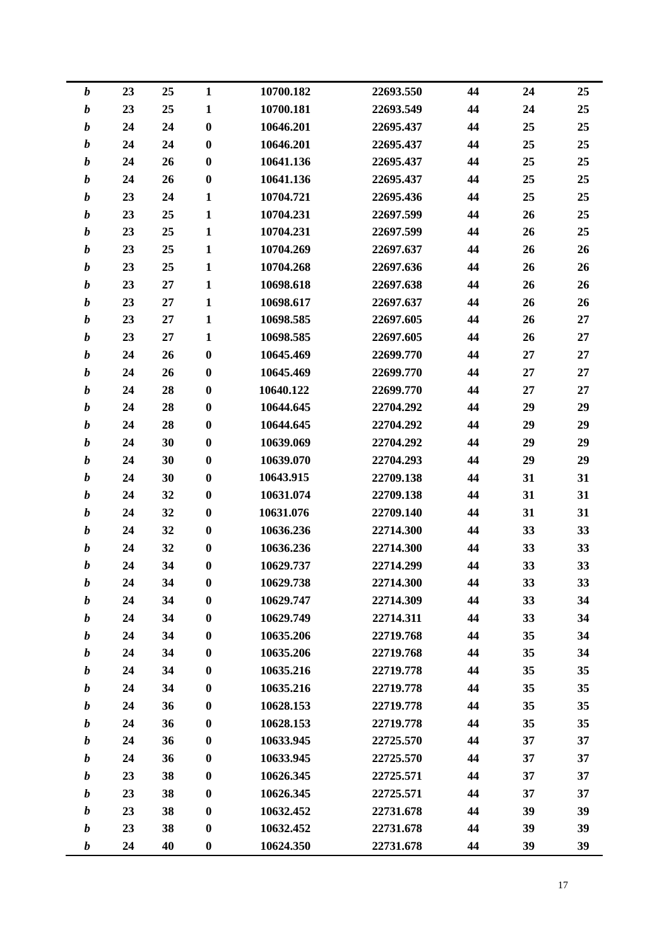| $\boldsymbol{b}$ | 23 | 25 | $\mathbf{1}$     | 10700.182 | 22693.550 | 44 | 24 | 25 |
|------------------|----|----|------------------|-----------|-----------|----|----|----|
| $\boldsymbol{b}$ | 23 | 25 | $\mathbf{1}$     | 10700.181 | 22693.549 | 44 | 24 | 25 |
| $\boldsymbol{b}$ | 24 | 24 | $\boldsymbol{0}$ | 10646.201 | 22695.437 | 44 | 25 | 25 |
| $\boldsymbol{b}$ | 24 | 24 | $\bf{0}$         | 10646.201 | 22695.437 | 44 | 25 | 25 |
| $\boldsymbol{b}$ | 24 | 26 | $\bf{0}$         | 10641.136 | 22695.437 | 44 | 25 | 25 |
| $\boldsymbol{b}$ | 24 | 26 | $\boldsymbol{0}$ | 10641.136 | 22695.437 | 44 | 25 | 25 |
| $\boldsymbol{b}$ | 23 | 24 | $\mathbf{1}$     | 10704.721 | 22695.436 | 44 | 25 | 25 |
| $\boldsymbol{b}$ | 23 | 25 | $\mathbf{1}$     | 10704.231 | 22697.599 | 44 | 26 | 25 |
| $\boldsymbol{b}$ | 23 | 25 | $\mathbf{1}$     | 10704.231 | 22697.599 | 44 | 26 | 25 |
| $\boldsymbol{b}$ | 23 | 25 | $\mathbf{1}$     | 10704.269 | 22697.637 | 44 | 26 | 26 |
| $\boldsymbol{b}$ | 23 | 25 | $\mathbf{1}$     | 10704.268 | 22697.636 | 44 | 26 | 26 |
| $\boldsymbol{b}$ | 23 | 27 | $\mathbf{1}$     | 10698.618 | 22697.638 | 44 | 26 | 26 |
| $\boldsymbol{b}$ | 23 | 27 | $\mathbf{1}$     | 10698.617 | 22697.637 | 44 | 26 | 26 |
| $\boldsymbol{b}$ | 23 | 27 | $\mathbf{1}$     | 10698.585 | 22697.605 | 44 | 26 | 27 |
| $\boldsymbol{b}$ | 23 | 27 | $\mathbf{1}$     | 10698.585 | 22697.605 | 44 | 26 | 27 |
| $\boldsymbol{b}$ | 24 | 26 | $\bf{0}$         | 10645.469 | 22699.770 | 44 | 27 | 27 |
| $\boldsymbol{b}$ | 24 | 26 | $\boldsymbol{0}$ | 10645.469 | 22699.770 | 44 | 27 | 27 |
| $\boldsymbol{b}$ | 24 | 28 | $\bf{0}$         | 10640.122 | 22699.770 | 44 | 27 | 27 |
| $\boldsymbol{b}$ | 24 | 28 | $\bf{0}$         | 10644.645 | 22704.292 | 44 | 29 | 29 |
| $\boldsymbol{b}$ | 24 | 28 | $\bf{0}$         | 10644.645 | 22704.292 | 44 | 29 | 29 |
| $\boldsymbol{b}$ | 24 | 30 | $\boldsymbol{0}$ | 10639.069 | 22704.292 | 44 | 29 | 29 |
| $\boldsymbol{b}$ | 24 | 30 | $\boldsymbol{0}$ | 10639.070 | 22704.293 | 44 | 29 | 29 |
| $\boldsymbol{b}$ | 24 | 30 | $\bf{0}$         | 10643.915 | 22709.138 | 44 | 31 | 31 |
| $\boldsymbol{b}$ | 24 | 32 | $\boldsymbol{0}$ | 10631.074 | 22709.138 | 44 | 31 | 31 |
| $\boldsymbol{b}$ | 24 | 32 | $\boldsymbol{0}$ | 10631.076 | 22709.140 | 44 | 31 | 31 |
| $\boldsymbol{b}$ | 24 | 32 | $\boldsymbol{0}$ | 10636.236 | 22714.300 | 44 | 33 | 33 |
| $\boldsymbol{b}$ | 24 | 32 | $\boldsymbol{0}$ | 10636.236 | 22714.300 | 44 | 33 | 33 |
| $\boldsymbol{b}$ | 24 | 34 | $\boldsymbol{0}$ | 10629.737 | 22714.299 | 44 | 33 | 33 |
| b                | 24 | 34 | $\boldsymbol{0}$ | 10629.738 | 22714.300 | 44 | 33 | 33 |
| $\boldsymbol{b}$ | 24 | 34 | $\boldsymbol{0}$ | 10629.747 | 22714.309 | 44 | 33 | 34 |
| $\boldsymbol{b}$ | 24 | 34 | $\boldsymbol{0}$ | 10629.749 | 22714.311 | 44 | 33 | 34 |
| $\boldsymbol{b}$ | 24 | 34 | $\bf{0}$         | 10635.206 | 22719.768 | 44 | 35 | 34 |
| $\boldsymbol{b}$ | 24 | 34 | $\bf{0}$         | 10635.206 | 22719.768 | 44 | 35 | 34 |
| $\boldsymbol{b}$ | 24 | 34 | $\boldsymbol{0}$ | 10635.216 | 22719.778 | 44 | 35 | 35 |
| $\boldsymbol{b}$ | 24 | 34 | $\boldsymbol{0}$ | 10635.216 | 22719.778 | 44 | 35 | 35 |
| $\boldsymbol{b}$ | 24 | 36 | $\boldsymbol{0}$ | 10628.153 | 22719.778 | 44 | 35 | 35 |
| $\boldsymbol{b}$ | 24 | 36 | $\boldsymbol{0}$ | 10628.153 | 22719.778 | 44 | 35 | 35 |
| $\boldsymbol{b}$ | 24 | 36 | $\boldsymbol{0}$ | 10633.945 | 22725.570 | 44 | 37 | 37 |
| $\boldsymbol{b}$ | 24 | 36 | $\bf{0}$         | 10633.945 | 22725.570 | 44 | 37 | 37 |
| $\boldsymbol{b}$ | 23 | 38 | $\bf{0}$         | 10626.345 | 22725.571 | 44 | 37 | 37 |
| $\boldsymbol{b}$ | 23 | 38 | $\boldsymbol{0}$ | 10626.345 | 22725.571 | 44 | 37 | 37 |
| $\boldsymbol{b}$ | 23 | 38 | $\boldsymbol{0}$ | 10632.452 | 22731.678 | 44 | 39 | 39 |
| $\boldsymbol{b}$ | 23 | 38 | $\boldsymbol{0}$ | 10632.452 | 22731.678 | 44 | 39 | 39 |
| $\boldsymbol{b}$ | 24 | 40 | $\boldsymbol{0}$ | 10624.350 | 22731.678 | 44 | 39 | 39 |
|                  |    |    |                  |           |           |    |    |    |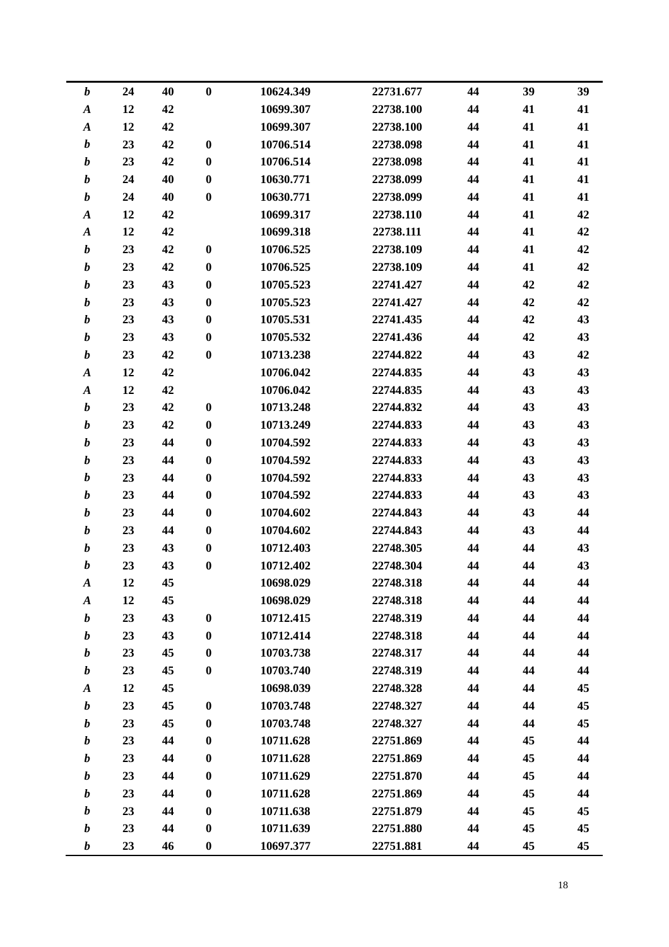| $\boldsymbol{b}$ | 24 | 40 | $\bf{0}$         | 10624.349 | 22731.677 | 44 | 39 | 39 |
|------------------|----|----|------------------|-----------|-----------|----|----|----|
| $\pmb{A}$        | 12 | 42 |                  | 10699.307 | 22738.100 | 44 | 41 | 41 |
| $\boldsymbol{A}$ | 12 | 42 |                  | 10699.307 | 22738.100 | 44 | 41 | 41 |
| $\boldsymbol{b}$ | 23 | 42 | $\bf{0}$         | 10706.514 | 22738.098 | 44 | 41 | 41 |
| $\boldsymbol{b}$ | 23 | 42 | $\bf{0}$         | 10706.514 | 22738.098 | 44 | 41 | 41 |
| $\boldsymbol{b}$ | 24 | 40 | $\bf{0}$         | 10630.771 | 22738.099 | 44 | 41 | 41 |
| $\boldsymbol{b}$ | 24 | 40 | $\bf{0}$         | 10630.771 | 22738.099 | 44 | 41 | 41 |
| $\boldsymbol{A}$ | 12 | 42 |                  | 10699.317 | 22738.110 | 44 | 41 | 42 |
| $\boldsymbol{A}$ | 12 | 42 |                  | 10699.318 | 22738.111 | 44 | 41 | 42 |
| $\boldsymbol{b}$ | 23 | 42 | $\bf{0}$         | 10706.525 | 22738.109 | 44 | 41 | 42 |
| $\boldsymbol{b}$ | 23 | 42 | $\bf{0}$         | 10706.525 | 22738.109 | 44 | 41 | 42 |
| $\boldsymbol{b}$ | 23 | 43 | $\bf{0}$         | 10705.523 | 22741.427 | 44 | 42 | 42 |
| $\boldsymbol{b}$ | 23 | 43 | $\boldsymbol{0}$ | 10705.523 | 22741.427 | 44 | 42 | 42 |
| $\boldsymbol{b}$ | 23 | 43 | $\bf{0}$         | 10705.531 | 22741.435 | 44 | 42 | 43 |
| $\boldsymbol{b}$ | 23 | 43 | $\bf{0}$         | 10705.532 | 22741.436 | 44 | 42 | 43 |
| $\boldsymbol{b}$ | 23 | 42 | $\bf{0}$         | 10713.238 | 22744.822 | 44 | 43 | 42 |
| $\boldsymbol{A}$ | 12 | 42 |                  | 10706.042 | 22744.835 | 44 | 43 | 43 |
| $\boldsymbol{A}$ | 12 | 42 |                  | 10706.042 | 22744.835 | 44 | 43 | 43 |
| $\boldsymbol{b}$ | 23 | 42 | $\bf{0}$         | 10713.248 | 22744.832 | 44 | 43 | 43 |
| $\boldsymbol{b}$ | 23 | 42 | $\bf{0}$         | 10713.249 | 22744.833 | 44 | 43 | 43 |
| $\boldsymbol{b}$ | 23 | 44 | $\bf{0}$         | 10704.592 | 22744.833 | 44 | 43 | 43 |
| $\boldsymbol{b}$ | 23 | 44 | $\bf{0}$         | 10704.592 | 22744.833 | 44 | 43 | 43 |
| $\boldsymbol{b}$ | 23 | 44 | $\bf{0}$         | 10704.592 | 22744.833 | 44 | 43 | 43 |
| $\boldsymbol{b}$ | 23 | 44 | $\bf{0}$         | 10704.592 | 22744.833 | 44 | 43 | 43 |
| $\boldsymbol{b}$ | 23 | 44 | $\bf{0}$         | 10704.602 | 22744.843 | 44 | 43 | 44 |
| $\boldsymbol{b}$ | 23 | 44 | $\boldsymbol{0}$ | 10704.602 | 22744.843 | 44 | 43 | 44 |
| $\boldsymbol{b}$ | 23 | 43 | $\boldsymbol{0}$ | 10712.403 | 22748.305 | 44 | 44 | 43 |
| b                | 23 | 43 | $\bf{0}$         | 10712.402 | 22748.304 | 44 | 44 | 43 |
| A                | 12 | 45 |                  | 10698.029 | 22748.318 | 44 | 44 | 44 |
| $\boldsymbol{A}$ | 12 | 45 |                  | 10698.029 | 22748.318 | 44 | 44 | 44 |
| $\boldsymbol{b}$ | 23 | 43 | $\boldsymbol{0}$ | 10712.415 | 22748.319 | 44 | 44 | 44 |
| b                | 23 | 43 | $\bf{0}$         | 10712.414 | 22748.318 | 44 | 44 | 44 |
| b                | 23 | 45 | $\bf{0}$         | 10703.738 | 22748.317 | 44 | 44 | 44 |
| $\boldsymbol{b}$ | 23 | 45 | $\bf{0}$         | 10703.740 | 22748.319 | 44 | 44 | 44 |
| $\boldsymbol{A}$ | 12 | 45 |                  | 10698.039 | 22748.328 | 44 | 44 | 45 |
| $\boldsymbol{b}$ | 23 | 45 | $\bf{0}$         | 10703.748 | 22748.327 | 44 | 44 | 45 |
| b                | 23 | 45 | $\bf{0}$         | 10703.748 | 22748.327 | 44 | 44 | 45 |
| b                | 23 | 44 | $\bf{0}$         | 10711.628 | 22751.869 | 44 | 45 | 44 |
| b                | 23 | 44 | $\bf{0}$         | 10711.628 | 22751.869 | 44 | 45 | 44 |
| $\boldsymbol{b}$ | 23 | 44 | $\bf{0}$         | 10711.629 | 22751.870 | 44 | 45 | 44 |
| b                | 23 | 44 | $\bf{0}$         | 10711.628 | 22751.869 | 44 | 45 | 44 |
| b                | 23 | 44 | $\bf{0}$         | 10711.638 | 22751.879 | 44 | 45 | 45 |
| b                | 23 | 44 | $\bf{0}$         | 10711.639 | 22751.880 | 44 | 45 | 45 |
| $\boldsymbol{b}$ | 23 | 46 | $\boldsymbol{0}$ | 10697.377 | 22751.881 | 44 | 45 | 45 |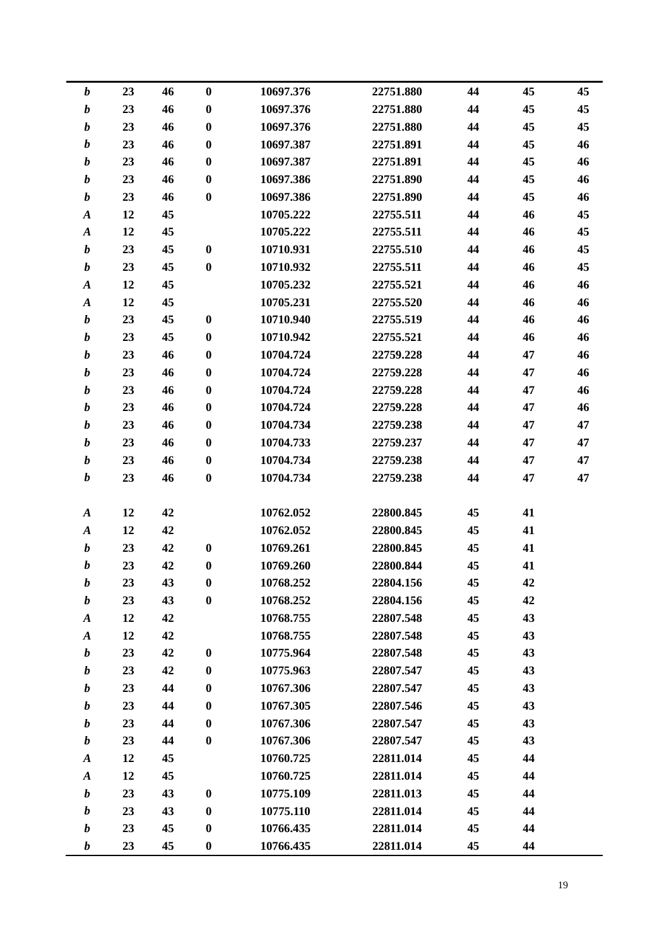| $\boldsymbol{b}$ | 23 | 46 | $\boldsymbol{0}$ | 10697.376 | 22751.880 | 44 | 45 | 45 |
|------------------|----|----|------------------|-----------|-----------|----|----|----|
| $\boldsymbol{b}$ | 23 | 46 | $\boldsymbol{0}$ | 10697.376 | 22751.880 | 44 | 45 | 45 |
| $\boldsymbol{b}$ | 23 | 46 | $\boldsymbol{0}$ | 10697.376 | 22751.880 | 44 | 45 | 45 |
| $\boldsymbol{b}$ | 23 | 46 | $\boldsymbol{0}$ | 10697.387 | 22751.891 | 44 | 45 | 46 |
| $\boldsymbol{b}$ | 23 | 46 | $\bf{0}$         | 10697.387 | 22751.891 | 44 | 45 | 46 |
| $\boldsymbol{b}$ | 23 | 46 | $\boldsymbol{0}$ | 10697.386 | 22751.890 | 44 | 45 | 46 |
| $\boldsymbol{b}$ | 23 | 46 | $\boldsymbol{0}$ | 10697.386 | 22751.890 | 44 | 45 | 46 |
| $\boldsymbol{A}$ | 12 | 45 |                  | 10705.222 | 22755.511 | 44 | 46 | 45 |
| $\boldsymbol{A}$ | 12 | 45 |                  | 10705.222 | 22755.511 | 44 | 46 | 45 |
| $\boldsymbol{b}$ | 23 | 45 | $\bf{0}$         | 10710.931 | 22755.510 | 44 | 46 | 45 |
| $\boldsymbol{b}$ | 23 | 45 | $\bf{0}$         | 10710.932 | 22755.511 | 44 | 46 | 45 |
| $\boldsymbol{A}$ | 12 | 45 |                  | 10705.232 | 22755.521 | 44 | 46 | 46 |
| $\boldsymbol{A}$ | 12 | 45 |                  | 10705.231 | 22755.520 | 44 | 46 | 46 |
| $\boldsymbol{b}$ | 23 | 45 | $\boldsymbol{0}$ | 10710.940 | 22755.519 | 44 | 46 | 46 |
| $\boldsymbol{b}$ | 23 | 45 | $\bf{0}$         | 10710.942 | 22755.521 | 44 | 46 | 46 |
| $\boldsymbol{b}$ | 23 | 46 | $\boldsymbol{0}$ | 10704.724 | 22759.228 | 44 | 47 | 46 |
| $\boldsymbol{b}$ | 23 | 46 | $\boldsymbol{0}$ | 10704.724 | 22759.228 | 44 | 47 | 46 |
| $\boldsymbol{b}$ | 23 | 46 | $\boldsymbol{0}$ | 10704.724 | 22759.228 | 44 | 47 | 46 |
| $\boldsymbol{b}$ | 23 | 46 | $\boldsymbol{0}$ | 10704.724 | 22759.228 | 44 | 47 | 46 |
| $\boldsymbol{b}$ | 23 | 46 | $\bf{0}$         | 10704.734 | 22759.238 | 44 | 47 | 47 |
| $\boldsymbol{b}$ | 23 | 46 | $\boldsymbol{0}$ | 10704.733 | 22759.237 | 44 | 47 | 47 |
| $\boldsymbol{b}$ | 23 | 46 | $\boldsymbol{0}$ | 10704.734 | 22759.238 | 44 | 47 | 47 |
| $\boldsymbol{b}$ | 23 | 46 | $\boldsymbol{0}$ | 10704.734 | 22759.238 | 44 | 47 | 47 |
|                  |    |    |                  |           |           |    |    |    |
| $\boldsymbol{A}$ | 12 | 42 |                  | 10762.052 | 22800.845 | 45 | 41 |    |
| $\boldsymbol{A}$ | 12 | 42 |                  | 10762.052 | 22800.845 | 45 | 41 |    |
| $\boldsymbol{b}$ | 23 | 42 | $\bf{0}$         | 10769.261 | 22800.845 | 45 | 41 |    |
| b                | 23 | 42 | $\boldsymbol{0}$ | 10769.260 | 22800.844 | 45 | 41 |    |
| b                | 23 | 43 | $\bf{0}$         | 10768.252 | 22804.156 | 45 | 42 |    |
| $\boldsymbol{b}$ | 23 | 43 | $\bf{0}$         | 10768.252 | 22804.156 | 45 | 42 |    |
| $\boldsymbol{A}$ | 12 | 42 |                  | 10768.755 | 22807.548 | 45 | 43 |    |
| $\boldsymbol{A}$ | 12 | 42 |                  | 10768.755 | 22807.548 | 45 | 43 |    |
| $\boldsymbol{b}$ | 23 | 42 | $\boldsymbol{0}$ | 10775.964 | 22807.548 | 45 | 43 |    |
| b                | 23 | 42 | $\boldsymbol{0}$ | 10775.963 | 22807.547 | 45 | 43 |    |
| $\boldsymbol{b}$ | 23 | 44 | $\bf{0}$         | 10767.306 | 22807.547 | 45 | 43 |    |
| b                | 23 | 44 | $\bf{0}$         | 10767.305 | 22807.546 | 45 | 43 |    |
| $\boldsymbol{b}$ | 23 | 44 | $\bf{0}$         | 10767.306 | 22807.547 | 45 | 43 |    |
| $\boldsymbol{b}$ | 23 | 44 | $\bf{0}$         | 10767.306 | 22807.547 | 45 | 43 |    |
| $\boldsymbol{A}$ | 12 | 45 |                  | 10760.725 | 22811.014 | 45 | 44 |    |
| $\boldsymbol{A}$ | 12 | 45 |                  | 10760.725 | 22811.014 | 45 | 44 |    |
| b                | 23 | 43 | $\boldsymbol{0}$ | 10775.109 | 22811.013 | 45 | 44 |    |
| $\boldsymbol{b}$ | 23 | 43 | $\bf{0}$         | 10775.110 | 22811.014 | 45 | 44 |    |
| b                | 23 | 45 | $\boldsymbol{0}$ | 10766.435 | 22811.014 | 45 | 44 |    |
| b                | 23 | 45 | $\boldsymbol{0}$ | 10766.435 | 22811.014 | 45 | 44 |    |